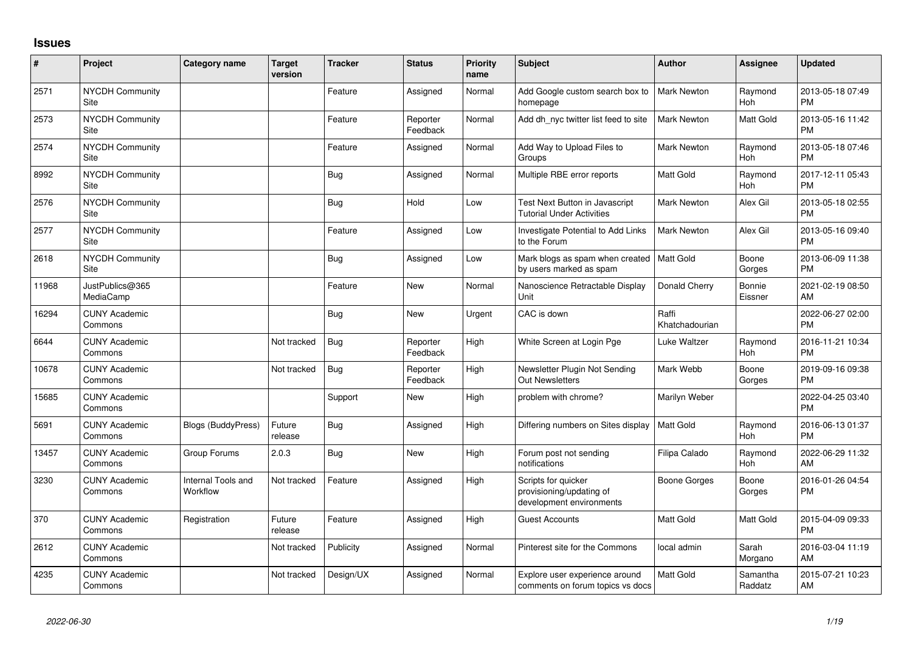## **Issues**

| #     | Project                         | <b>Category name</b>           | <b>Target</b><br>version | <b>Tracker</b> | <b>Status</b>        | Priority<br>name | <b>Subject</b>                                                              | <b>Author</b>           | <b>Assignee</b>     | <b>Updated</b>                |
|-------|---------------------------------|--------------------------------|--------------------------|----------------|----------------------|------------------|-----------------------------------------------------------------------------|-------------------------|---------------------|-------------------------------|
| 2571  | <b>NYCDH Community</b><br>Site  |                                |                          | Feature        | Assigned             | Normal           | Add Google custom search box to<br>homepage                                 | <b>Mark Newton</b>      | Raymond<br>Hoh      | 2013-05-18 07:49<br><b>PM</b> |
| 2573  | <b>NYCDH Community</b><br>Site  |                                |                          | Feature        | Reporter<br>Feedback | Normal           | Add dh nyc twitter list feed to site                                        | <b>Mark Newton</b>      | Matt Gold           | 2013-05-16 11:42<br><b>PM</b> |
| 2574  | <b>NYCDH Community</b><br>Site  |                                |                          | Feature        | Assigned             | Normal           | Add Way to Upload Files to<br>Groups                                        | <b>Mark Newton</b>      | Raymond<br>Hoh      | 2013-05-18 07:46<br><b>PM</b> |
| 8992  | <b>NYCDH Community</b><br>Site  |                                |                          | Bug            | Assigned             | Normal           | Multiple RBE error reports                                                  | <b>Matt Gold</b>        | Raymond<br>Hoh      | 2017-12-11 05:43<br><b>PM</b> |
| 2576  | NYCDH Community<br>Site         |                                |                          | <b>Bug</b>     | Hold                 | Low              | Test Next Button in Javascript<br>Tutorial Under Activities                 | <b>Mark Newton</b>      | Alex Gil            | 2013-05-18 02:55<br><b>PM</b> |
| 2577  | <b>NYCDH Community</b><br>Site  |                                |                          | Feature        | Assigned             | Low              | <b>Investigate Potential to Add Links</b><br>to the Forum                   | Mark Newton             | Alex Gil            | 2013-05-16 09:40<br><b>PM</b> |
| 2618  | <b>NYCDH Community</b><br>Site  |                                |                          | Bug            | Assigned             | Low              | Mark blogs as spam when created<br>by users marked as spam                  | Matt Gold               | Boone<br>Gorges     | 2013-06-09 11:38<br><b>PM</b> |
| 11968 | JustPublics@365<br>MediaCamp    |                                |                          | Feature        | New                  | Normal           | Nanoscience Retractable Display<br>Unit                                     | Donald Cherry           | Bonnie<br>Eissner   | 2021-02-19 08:50<br>AM        |
| 16294 | <b>CUNY Academic</b><br>Commons |                                |                          | Bug            | New                  | Urgent           | CAC is down                                                                 | Raffi<br>Khatchadourian |                     | 2022-06-27 02:00<br><b>PM</b> |
| 6644  | <b>CUNY Academic</b><br>Commons |                                | Not tracked              | Bug            | Reporter<br>Feedback | High             | White Screen at Login Pge                                                   | Luke Waltzer            | Raymond<br>Hoh      | 2016-11-21 10:34<br><b>PM</b> |
| 10678 | <b>CUNY Academic</b><br>Commons |                                | Not tracked              | Bug            | Reporter<br>Feedback | High             | Newsletter Plugin Not Sending<br><b>Out Newsletters</b>                     | Mark Webb               | Boone<br>Gorges     | 2019-09-16 09:38<br><b>PM</b> |
| 15685 | <b>CUNY Academic</b><br>Commons |                                |                          | Support        | New                  | High             | problem with chrome?                                                        | Marilyn Weber           |                     | 2022-04-25 03:40<br><b>PM</b> |
| 5691  | <b>CUNY Academic</b><br>Commons | <b>Blogs (BuddyPress)</b>      | Future<br>release        | Bug            | Assigned             | High             | Differing numbers on Sites display                                          | <b>Matt Gold</b>        | Raymond<br>Hoh      | 2016-06-13 01:37<br><b>PM</b> |
| 13457 | <b>CUNY Academic</b><br>Commons | Group Forums                   | 2.0.3                    | Bug            | <b>New</b>           | High             | Forum post not sending<br>notifications                                     | Filipa Calado           | Raymond<br>Hoh      | 2022-06-29 11:32<br>AM        |
| 3230  | <b>CUNY Academic</b><br>Commons | Internal Tools and<br>Workflow | Not tracked              | Feature        | Assigned             | High             | Scripts for quicker<br>provisioning/updating of<br>development environments | Boone Gorges            | Boone<br>Gorges     | 2016-01-26 04:54<br>PM        |
| 370   | <b>CUNY Academic</b><br>Commons | Registration                   | Future<br>release        | Feature        | Assigned             | High             | <b>Guest Accounts</b>                                                       | <b>Matt Gold</b>        | Matt Gold           | 2015-04-09 09:33<br><b>PM</b> |
| 2612  | <b>CUNY Academic</b><br>Commons |                                | Not tracked              | Publicity      | Assigned             | Normal           | Pinterest site for the Commons                                              | local admin             | Sarah<br>Morgano    | 2016-03-04 11:19<br>AM        |
| 4235  | <b>CUNY Academic</b><br>Commons |                                | Not tracked              | Design/UX      | Assigned             | Normal           | Explore user experience around<br>comments on forum topics vs docs          | Matt Gold               | Samantha<br>Raddatz | 2015-07-21 10:23<br>AM        |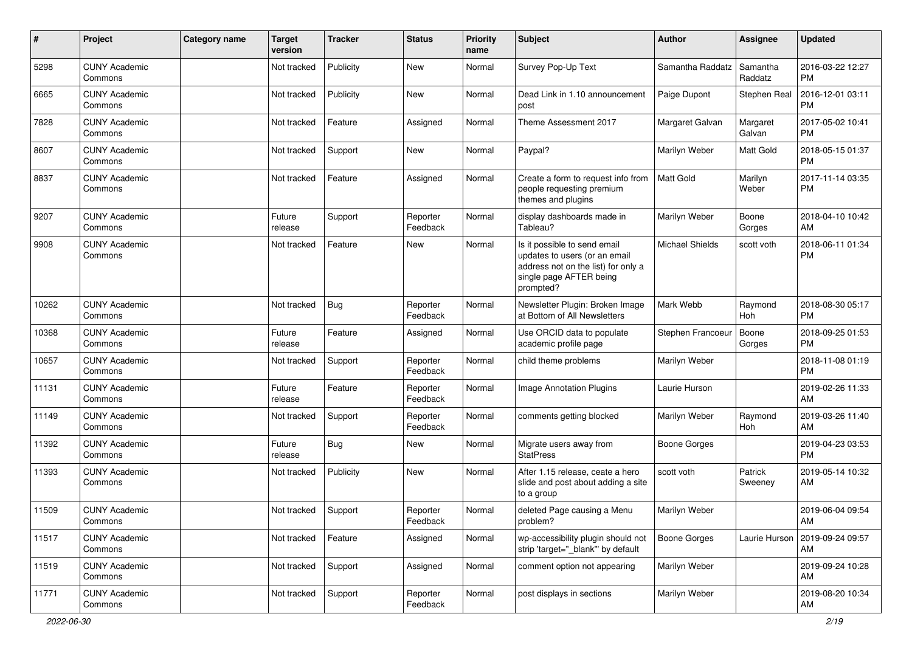| ∦     | Project                         | Category name | <b>Target</b><br>version | <b>Tracker</b> | <b>Status</b>        | <b>Priority</b><br>name | Subject                                                                                                                                      | Author                 | <b>Assignee</b>     | <b>Updated</b>                |
|-------|---------------------------------|---------------|--------------------------|----------------|----------------------|-------------------------|----------------------------------------------------------------------------------------------------------------------------------------------|------------------------|---------------------|-------------------------------|
| 5298  | <b>CUNY Academic</b><br>Commons |               | Not tracked              | Publicity      | <b>New</b>           | Normal                  | Survey Pop-Up Text                                                                                                                           | Samantha Raddatz       | Samantha<br>Raddatz | 2016-03-22 12:27<br><b>PM</b> |
| 6665  | <b>CUNY Academic</b><br>Commons |               | Not tracked              | Publicity      | New                  | Normal                  | Dead Link in 1.10 announcement<br>post                                                                                                       | Paige Dupont           | Stephen Real        | 2016-12-01 03:11<br><b>PM</b> |
| 7828  | <b>CUNY Academic</b><br>Commons |               | Not tracked              | Feature        | Assigned             | Normal                  | Theme Assessment 2017                                                                                                                        | Margaret Galvan        | Margaret<br>Galvan  | 2017-05-02 10:41<br><b>PM</b> |
| 8607  | <b>CUNY Academic</b><br>Commons |               | Not tracked              | Support        | <b>New</b>           | Normal                  | Paypal?                                                                                                                                      | Marilyn Weber          | Matt Gold           | 2018-05-15 01:37<br><b>PM</b> |
| 8837  | <b>CUNY Academic</b><br>Commons |               | Not tracked              | Feature        | Assigned             | Normal                  | Create a form to request info from<br>people requesting premium<br>themes and plugins                                                        | Matt Gold              | Marilyn<br>Weber    | 2017-11-14 03:35<br><b>PM</b> |
| 9207  | <b>CUNY Academic</b><br>Commons |               | Future<br>release        | Support        | Reporter<br>Feedback | Normal                  | display dashboards made in<br>Tableau?                                                                                                       | Marilyn Weber          | Boone<br>Gorges     | 2018-04-10 10:42<br>AM        |
| 9908  | <b>CUNY Academic</b><br>Commons |               | Not tracked              | Feature        | New                  | Normal                  | Is it possible to send email<br>updates to users (or an email<br>address not on the list) for only a<br>single page AFTER being<br>prompted? | <b>Michael Shields</b> | scott voth          | 2018-06-11 01:34<br><b>PM</b> |
| 10262 | <b>CUNY Academic</b><br>Commons |               | Not tracked              | Bug            | Reporter<br>Feedback | Normal                  | Newsletter Plugin: Broken Image<br>at Bottom of All Newsletters                                                                              | Mark Webb              | Raymond<br>Hoh      | 2018-08-30 05:17<br><b>PM</b> |
| 10368 | <b>CUNY Academic</b><br>Commons |               | Future<br>release        | Feature        | Assigned             | Normal                  | Use ORCID data to populate<br>academic profile page                                                                                          | Stephen Francoeur      | Boone<br>Gorges     | 2018-09-25 01:53<br><b>PM</b> |
| 10657 | <b>CUNY Academic</b><br>Commons |               | Not tracked              | Support        | Reporter<br>Feedback | Normal                  | child theme problems                                                                                                                         | Marilyn Weber          |                     | 2018-11-08 01:19<br><b>PM</b> |
| 11131 | <b>CUNY Academic</b><br>Commons |               | Future<br>release        | Feature        | Reporter<br>Feedback | Normal                  | Image Annotation Plugins                                                                                                                     | Laurie Hurson          |                     | 2019-02-26 11:33<br>AM        |
| 11149 | <b>CUNY Academic</b><br>Commons |               | Not tracked              | Support        | Reporter<br>Feedback | Normal                  | comments getting blocked                                                                                                                     | Marilyn Weber          | Raymond<br>Hoh      | 2019-03-26 11:40<br>AM        |
| 11392 | <b>CUNY Academic</b><br>Commons |               | Future<br>release        | <b>Bug</b>     | New                  | Normal                  | Migrate users away from<br><b>StatPress</b>                                                                                                  | <b>Boone Gorges</b>    |                     | 2019-04-23 03:53<br><b>PM</b> |
| 11393 | <b>CUNY Academic</b><br>Commons |               | Not tracked              | Publicity      | <b>New</b>           | Normal                  | After 1.15 release, ceate a hero<br>slide and post about adding a site<br>to a group                                                         | scott voth             | Patrick<br>Sweeney  | 2019-05-14 10:32<br>AM        |
| 11509 | <b>CUNY Academic</b><br>Commons |               | Not tracked              | Support        | Reporter<br>Feedback | Normal                  | deleted Page causing a Menu<br>problem?                                                                                                      | Marilyn Weber          |                     | 2019-06-04 09:54<br>AM        |
| 11517 | <b>CUNY Academic</b><br>Commons |               | Not tracked              | Feature        | Assigned             | Normal                  | wp-accessibility plugin should not<br>strip 'target="_blank"' by default                                                                     | <b>Boone Gorges</b>    | Laurie Hurson       | 2019-09-24 09:57<br>AM        |
| 11519 | <b>CUNY Academic</b><br>Commons |               | Not tracked              | Support        | Assigned             | Normal                  | comment option not appearing                                                                                                                 | Marilyn Weber          |                     | 2019-09-24 10:28<br>AM        |
| 11771 | <b>CUNY Academic</b><br>Commons |               | Not tracked              | Support        | Reporter<br>Feedback | Normal                  | post displays in sections                                                                                                                    | Marilyn Weber          |                     | 2019-08-20 10:34<br>AM        |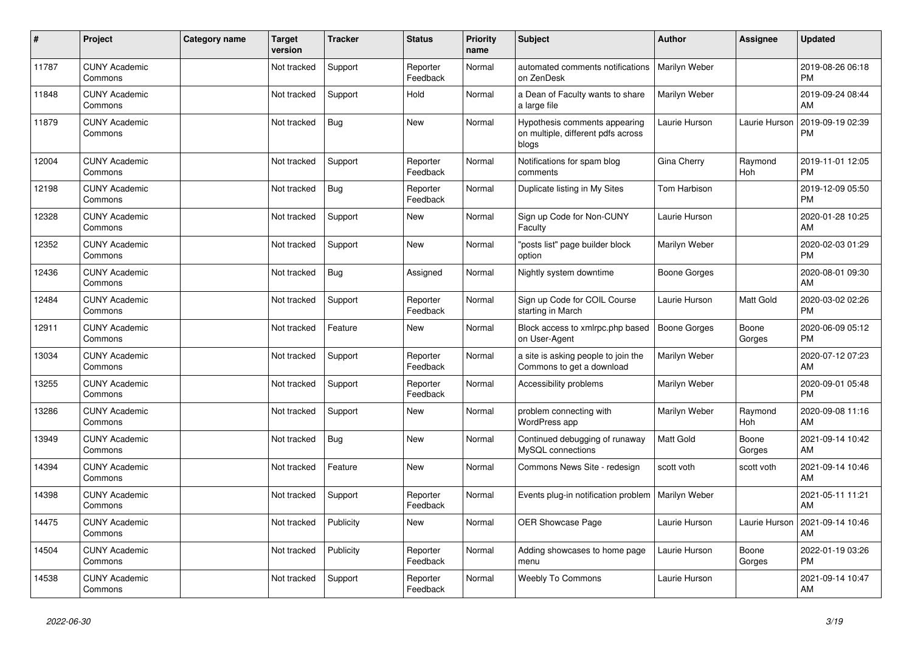| ∦     | Project                         | <b>Category name</b> | <b>Target</b><br>version | <b>Tracker</b> | <b>Status</b>        | <b>Priority</b><br>name | <b>Subject</b>                                                               | <b>Author</b>       | <b>Assignee</b> | <b>Updated</b>                |
|-------|---------------------------------|----------------------|--------------------------|----------------|----------------------|-------------------------|------------------------------------------------------------------------------|---------------------|-----------------|-------------------------------|
| 11787 | <b>CUNY Academic</b><br>Commons |                      | Not tracked              | Support        | Reporter<br>Feedback | Normal                  | automated comments notifications<br>on ZenDesk                               | Marilyn Weber       |                 | 2019-08-26 06:18<br><b>PM</b> |
| 11848 | <b>CUNY Academic</b><br>Commons |                      | Not tracked              | Support        | Hold                 | Normal                  | a Dean of Faculty wants to share<br>a large file                             | Marilyn Weber       |                 | 2019-09-24 08:44<br>AM        |
| 11879 | <b>CUNY Academic</b><br>Commons |                      | Not tracked              | Bug            | <b>New</b>           | Normal                  | Hypothesis comments appearing<br>on multiple, different pdfs across<br>blogs | Laurie Hurson       | Laurie Hurson   | 2019-09-19 02:39<br><b>PM</b> |
| 12004 | <b>CUNY Academic</b><br>Commons |                      | Not tracked              | Support        | Reporter<br>Feedback | Normal                  | Notifications for spam blog<br>comments                                      | Gina Cherry         | Raymond<br>Hoh  | 2019-11-01 12:05<br><b>PM</b> |
| 12198 | <b>CUNY Academic</b><br>Commons |                      | Not tracked              | Bug            | Reporter<br>Feedback | Normal                  | Duplicate listing in My Sites                                                | Tom Harbison        |                 | 2019-12-09 05:50<br><b>PM</b> |
| 12328 | <b>CUNY Academic</b><br>Commons |                      | Not tracked              | Support        | <b>New</b>           | Normal                  | Sign up Code for Non-CUNY<br>Faculty                                         | Laurie Hurson       |                 | 2020-01-28 10:25<br>AM        |
| 12352 | <b>CUNY Academic</b><br>Commons |                      | Not tracked              | Support        | <b>New</b>           | Normal                  | posts list" page builder block<br>option                                     | Marilyn Weber       |                 | 2020-02-03 01:29<br><b>PM</b> |
| 12436 | <b>CUNY Academic</b><br>Commons |                      | Not tracked              | Bug            | Assigned             | Normal                  | Nightly system downtime                                                      | Boone Gorges        |                 | 2020-08-01 09:30<br>AM        |
| 12484 | <b>CUNY Academic</b><br>Commons |                      | Not tracked              | Support        | Reporter<br>Feedback | Normal                  | Sign up Code for COIL Course<br>starting in March                            | Laurie Hurson       | Matt Gold       | 2020-03-02 02:26<br><b>PM</b> |
| 12911 | <b>CUNY Academic</b><br>Commons |                      | Not tracked              | Feature        | <b>New</b>           | Normal                  | Block access to xmlrpc.php based<br>on User-Agent                            | <b>Boone Gorges</b> | Boone<br>Gorges | 2020-06-09 05:12<br><b>PM</b> |
| 13034 | <b>CUNY Academic</b><br>Commons |                      | Not tracked              | Support        | Reporter<br>Feedback | Normal                  | a site is asking people to join the<br>Commons to get a download             | Marilyn Weber       |                 | 2020-07-12 07:23<br>AM        |
| 13255 | <b>CUNY Academic</b><br>Commons |                      | Not tracked              | Support        | Reporter<br>Feedback | Normal                  | Accessibility problems                                                       | Marilyn Weber       |                 | 2020-09-01 05:48<br><b>PM</b> |
| 13286 | <b>CUNY Academic</b><br>Commons |                      | Not tracked              | Support        | <b>New</b>           | Normal                  | problem connecting with<br>WordPress app                                     | Marilyn Weber       | Raymond<br>Hoh  | 2020-09-08 11:16<br>AM        |
| 13949 | <b>CUNY Academic</b><br>Commons |                      | Not tracked              | <b>Bug</b>     | <b>New</b>           | Normal                  | Continued debugging of runaway<br>MySQL connections                          | <b>Matt Gold</b>    | Boone<br>Gorges | 2021-09-14 10:42<br>AM        |
| 14394 | <b>CUNY Academic</b><br>Commons |                      | Not tracked              | Feature        | <b>New</b>           | Normal                  | Commons News Site - redesign                                                 | scott voth          | scott voth      | 2021-09-14 10:46<br>AM        |
| 14398 | <b>CUNY Academic</b><br>Commons |                      | Not tracked              | Support        | Reporter<br>Feedback | Normal                  | Events plug-in notification problem                                          | Marilyn Weber       |                 | 2021-05-11 11:21<br>AM        |
| 14475 | <b>CUNY Academic</b><br>Commons |                      | Not tracked              | Publicity      | <b>New</b>           | Normal                  | OER Showcase Page                                                            | Laurie Hurson       | Laurie Hurson   | 2021-09-14 10:46<br>AM        |
| 14504 | <b>CUNY Academic</b><br>Commons |                      | Not tracked              | Publicity      | Reporter<br>Feedback | Normal                  | Adding showcases to home page<br>menu                                        | Laurie Hurson       | Boone<br>Gorges | 2022-01-19 03:26<br><b>PM</b> |
| 14538 | <b>CUNY Academic</b><br>Commons |                      | Not tracked              | Support        | Reporter<br>Feedback | Normal                  | <b>Weebly To Commons</b>                                                     | Laurie Hurson       |                 | 2021-09-14 10:47<br>AM        |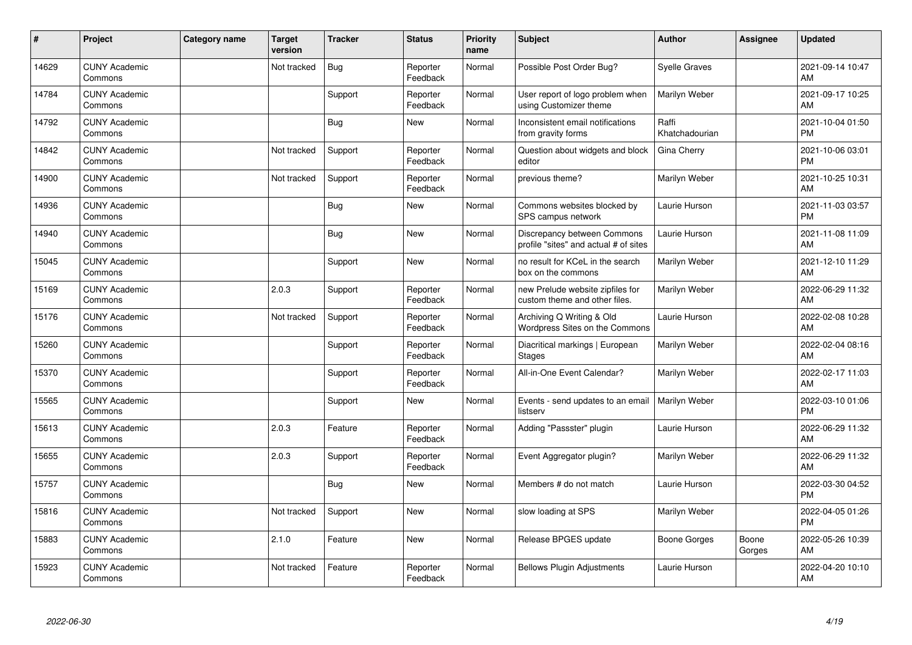| ∦     | Project                         | Category name | <b>Target</b><br>version | <b>Tracker</b> | <b>Status</b>        | Priority<br>name | <b>Subject</b>                                                       | <b>Author</b>           | <b>Assignee</b> | <b>Updated</b>                |
|-------|---------------------------------|---------------|--------------------------|----------------|----------------------|------------------|----------------------------------------------------------------------|-------------------------|-----------------|-------------------------------|
| 14629 | <b>CUNY Academic</b><br>Commons |               | Not tracked              | Bug            | Reporter<br>Feedback | Normal           | Possible Post Order Bug?                                             | <b>Syelle Graves</b>    |                 | 2021-09-14 10:47<br>AM        |
| 14784 | <b>CUNY Academic</b><br>Commons |               |                          | Support        | Reporter<br>Feedback | Normal           | User report of logo problem when<br>using Customizer theme           | Marilyn Weber           |                 | 2021-09-17 10:25<br>AM        |
| 14792 | <b>CUNY Academic</b><br>Commons |               |                          | <b>Bug</b>     | <b>New</b>           | Normal           | Inconsistent email notifications<br>from gravity forms               | Raffi<br>Khatchadourian |                 | 2021-10-04 01:50<br><b>PM</b> |
| 14842 | <b>CUNY Academic</b><br>Commons |               | Not tracked              | Support        | Reporter<br>Feedback | Normal           | Question about widgets and block<br>editor                           | Gina Cherry             |                 | 2021-10-06 03:01<br><b>PM</b> |
| 14900 | <b>CUNY Academic</b><br>Commons |               | Not tracked              | Support        | Reporter<br>Feedback | Normal           | previous theme?                                                      | Marilyn Weber           |                 | 2021-10-25 10:31<br>AM        |
| 14936 | <b>CUNY Academic</b><br>Commons |               |                          | Bug            | <b>New</b>           | Normal           | Commons websites blocked by<br>SPS campus network                    | Laurie Hurson           |                 | 2021-11-03 03:57<br><b>PM</b> |
| 14940 | <b>CUNY Academic</b><br>Commons |               |                          | <b>Bug</b>     | <b>New</b>           | Normal           | Discrepancy between Commons<br>profile "sites" and actual # of sites | Laurie Hurson           |                 | 2021-11-08 11:09<br>AM        |
| 15045 | <b>CUNY Academic</b><br>Commons |               |                          | Support        | <b>New</b>           | Normal           | no result for KCeL in the search<br>box on the commons               | Marilyn Weber           |                 | 2021-12-10 11:29<br>AM        |
| 15169 | <b>CUNY Academic</b><br>Commons |               | 2.0.3                    | Support        | Reporter<br>Feedback | Normal           | new Prelude website zipfiles for<br>custom theme and other files.    | Marilyn Weber           |                 | 2022-06-29 11:32<br>AM        |
| 15176 | <b>CUNY Academic</b><br>Commons |               | Not tracked              | Support        | Reporter<br>Feedback | Normal           | Archiving Q Writing & Old<br>Wordpress Sites on the Commons          | Laurie Hurson           |                 | 2022-02-08 10:28<br>AM        |
| 15260 | <b>CUNY Academic</b><br>Commons |               |                          | Support        | Reporter<br>Feedback | Normal           | Diacritical markings   European<br><b>Stages</b>                     | Marilyn Weber           |                 | 2022-02-04 08:16<br>AM        |
| 15370 | <b>CUNY Academic</b><br>Commons |               |                          | Support        | Reporter<br>Feedback | Normal           | All-in-One Event Calendar?                                           | Marilyn Weber           |                 | 2022-02-17 11:03<br>AM        |
| 15565 | <b>CUNY Academic</b><br>Commons |               |                          | Support        | <b>New</b>           | Normal           | Events - send updates to an email<br>listserv                        | Marilyn Weber           |                 | 2022-03-10 01:06<br><b>PM</b> |
| 15613 | <b>CUNY Academic</b><br>Commons |               | 2.0.3                    | Feature        | Reporter<br>Feedback | Normal           | Adding "Passster" plugin                                             | Laurie Hurson           |                 | 2022-06-29 11:32<br>AM        |
| 15655 | <b>CUNY Academic</b><br>Commons |               | 2.0.3                    | Support        | Reporter<br>Feedback | Normal           | Event Aggregator plugin?                                             | Marilyn Weber           |                 | 2022-06-29 11:32<br>AM        |
| 15757 | <b>CUNY Academic</b><br>Commons |               |                          | <b>Bug</b>     | <b>New</b>           | Normal           | Members # do not match                                               | Laurie Hurson           |                 | 2022-03-30 04:52<br><b>PM</b> |
| 15816 | <b>CUNY Academic</b><br>Commons |               | Not tracked              | Support        | <b>New</b>           | Normal           | slow loading at SPS                                                  | Marilyn Weber           |                 | 2022-04-05 01:26<br><b>PM</b> |
| 15883 | <b>CUNY Academic</b><br>Commons |               | 2.1.0                    | Feature        | <b>New</b>           | Normal           | Release BPGES update                                                 | Boone Gorges            | Boone<br>Gorges | 2022-05-26 10:39<br>AM        |
| 15923 | <b>CUNY Academic</b><br>Commons |               | Not tracked              | Feature        | Reporter<br>Feedback | Normal           | <b>Bellows Plugin Adjustments</b>                                    | Laurie Hurson           |                 | 2022-04-20 10:10<br>AM        |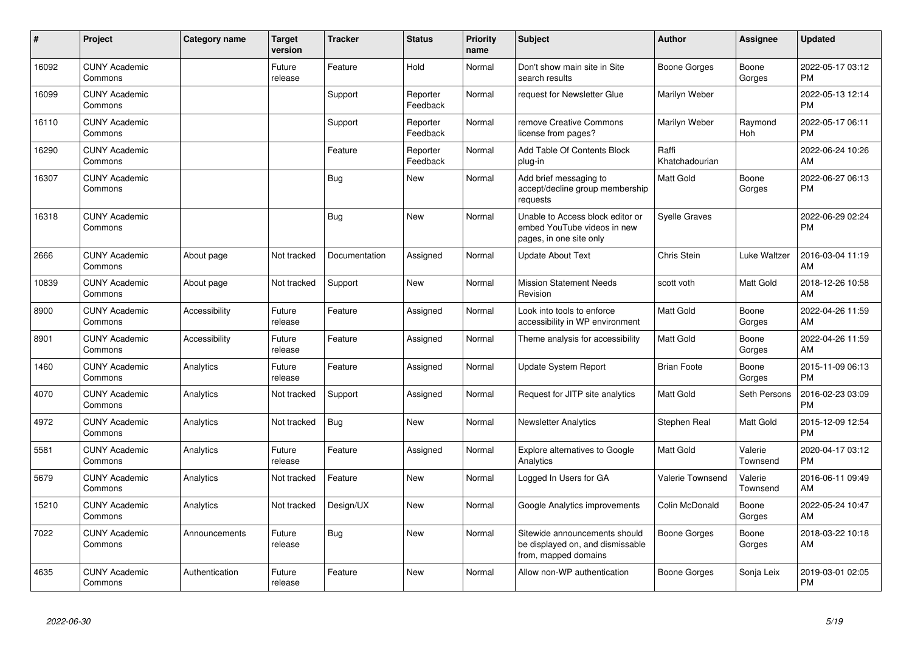| #     | <b>Project</b>                  | <b>Category name</b> | <b>Target</b><br>version | <b>Tracker</b> | <b>Status</b>        | <b>Priority</b><br>name | <b>Subject</b>                                                                             | Author                  | Assignee            | <b>Updated</b>                |
|-------|---------------------------------|----------------------|--------------------------|----------------|----------------------|-------------------------|--------------------------------------------------------------------------------------------|-------------------------|---------------------|-------------------------------|
| 16092 | <b>CUNY Academic</b><br>Commons |                      | Future<br>release        | Feature        | Hold                 | Normal                  | Don't show main site in Site<br>search results                                             | Boone Gorges            | Boone<br>Gorges     | 2022-05-17 03:12<br><b>PM</b> |
| 16099 | <b>CUNY Academic</b><br>Commons |                      |                          | Support        | Reporter<br>Feedback | Normal                  | request for Newsletter Glue                                                                | Marilyn Weber           |                     | 2022-05-13 12:14<br><b>PM</b> |
| 16110 | <b>CUNY Academic</b><br>Commons |                      |                          | Support        | Reporter<br>Feedback | Normal                  | remove Creative Commons<br>license from pages?                                             | Marilyn Weber           | Raymond<br>Hoh      | 2022-05-17 06:11<br><b>PM</b> |
| 16290 | <b>CUNY Academic</b><br>Commons |                      |                          | Feature        | Reporter<br>Feedback | Normal                  | Add Table Of Contents Block<br>plug-in                                                     | Raffi<br>Khatchadourian |                     | 2022-06-24 10:26<br>AM        |
| 16307 | <b>CUNY Academic</b><br>Commons |                      |                          | Bug            | New                  | Normal                  | Add brief messaging to<br>accept/decline group membership<br>requests                      | <b>Matt Gold</b>        | Boone<br>Gorges     | 2022-06-27 06:13<br><b>PM</b> |
| 16318 | <b>CUNY Academic</b><br>Commons |                      |                          | Bug            | <b>New</b>           | Normal                  | Unable to Access block editor or<br>embed YouTube videos in new<br>pages, in one site only | Syelle Graves           |                     | 2022-06-29 02:24<br><b>PM</b> |
| 2666  | <b>CUNY Academic</b><br>Commons | About page           | Not tracked              | Documentation  | Assigned             | Normal                  | <b>Update About Text</b>                                                                   | Chris Stein             | Luke Waltzer        | 2016-03-04 11:19<br>AM        |
| 10839 | <b>CUNY Academic</b><br>Commons | About page           | Not tracked              | Support        | <b>New</b>           | Normal                  | <b>Mission Statement Needs</b><br>Revision                                                 | scott voth              | Matt Gold           | 2018-12-26 10:58<br>AM        |
| 8900  | <b>CUNY Academic</b><br>Commons | Accessibility        | Future<br>release        | Feature        | Assigned             | Normal                  | Look into tools to enforce<br>accessibility in WP environment                              | <b>Matt Gold</b>        | Boone<br>Gorges     | 2022-04-26 11:59<br>AM        |
| 8901  | <b>CUNY Academic</b><br>Commons | Accessibility        | Future<br>release        | Feature        | Assigned             | Normal                  | Theme analysis for accessibility                                                           | <b>Matt Gold</b>        | Boone<br>Gorges     | 2022-04-26 11:59<br>AM        |
| 1460  | <b>CUNY Academic</b><br>Commons | Analytics            | Future<br>release        | Feature        | Assigned             | Normal                  | <b>Update System Report</b>                                                                | <b>Brian Foote</b>      | Boone<br>Gorges     | 2015-11-09 06:13<br><b>PM</b> |
| 4070  | <b>CUNY Academic</b><br>Commons | Analytics            | Not tracked              | Support        | Assigned             | Normal                  | Request for JITP site analytics                                                            | <b>Matt Gold</b>        | Seth Persons        | 2016-02-23 03:09<br><b>PM</b> |
| 4972  | <b>CUNY Academic</b><br>Commons | Analytics            | Not tracked              | <b>Bug</b>     | <b>New</b>           | Normal                  | <b>Newsletter Analytics</b>                                                                | Stephen Real            | Matt Gold           | 2015-12-09 12:54<br><b>PM</b> |
| 5581  | <b>CUNY Academic</b><br>Commons | Analytics            | Future<br>release        | Feature        | Assigned             | Normal                  | Explore alternatives to Google<br>Analytics                                                | <b>Matt Gold</b>        | Valerie<br>Townsend | 2020-04-17 03:12<br><b>PM</b> |
| 5679  | <b>CUNY Academic</b><br>Commons | Analytics            | Not tracked              | Feature        | New                  | Normal                  | Logged In Users for GA                                                                     | <b>Valerie Townsend</b> | Valerie<br>Townsend | 2016-06-11 09:49<br>AM        |
| 15210 | <b>CUNY Academic</b><br>Commons | Analytics            | Not tracked              | Design/UX      | <b>New</b>           | Normal                  | Google Analytics improvements                                                              | Colin McDonald          | Boone<br>Gorges     | 2022-05-24 10:47<br>AM        |
| 7022  | <b>CUNY Academic</b><br>Commons | Announcements        | Future<br>release        | Bug            | <b>New</b>           | Normal                  | Sitewide announcements should<br>be displayed on, and dismissable<br>from, mapped domains  | Boone Gorges            | Boone<br>Gorges     | 2018-03-22 10:18<br>AM        |
| 4635  | <b>CUNY Academic</b><br>Commons | Authentication       | Future<br>release        | Feature        | <b>New</b>           | Normal                  | Allow non-WP authentication                                                                | Boone Gorges            | Sonja Leix          | 2019-03-01 02:05<br><b>PM</b> |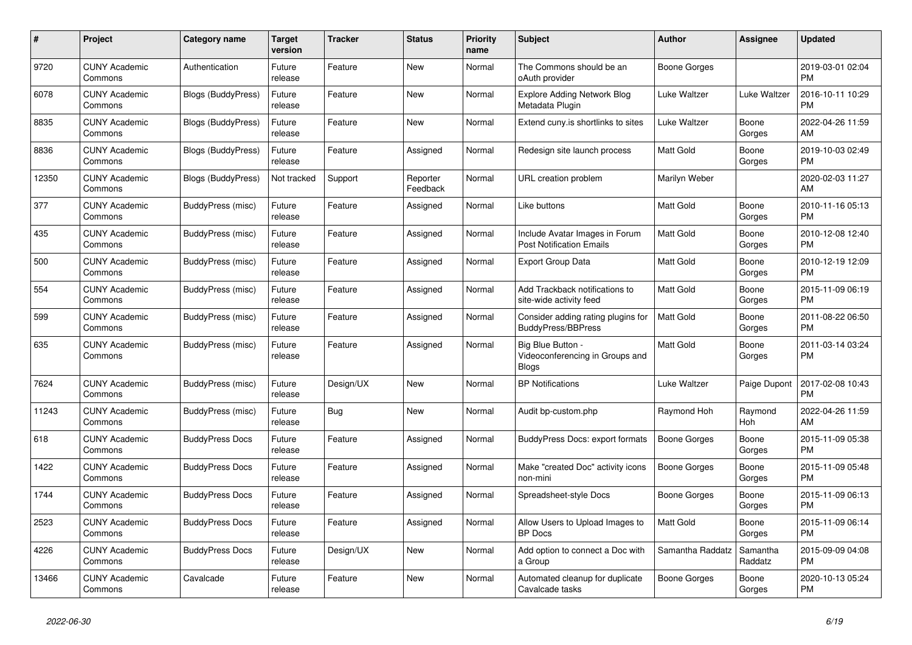| #     | Project                         | Category name             | <b>Target</b><br>version | Tracker    | <b>Status</b>        | <b>Priority</b><br>name | <b>Subject</b>                                                       | <b>Author</b>       | Assignee            | <b>Updated</b>                |
|-------|---------------------------------|---------------------------|--------------------------|------------|----------------------|-------------------------|----------------------------------------------------------------------|---------------------|---------------------|-------------------------------|
| 9720  | <b>CUNY Academic</b><br>Commons | Authentication            | Future<br>release        | Feature    | New                  | Normal                  | The Commons should be an<br>oAuth provider                           | Boone Gorges        |                     | 2019-03-01 02:04<br><b>PM</b> |
| 6078  | <b>CUNY Academic</b><br>Commons | <b>Blogs (BuddyPress)</b> | Future<br>release        | Feature    | New                  | Normal                  | <b>Explore Adding Network Blog</b><br>Metadata Plugin                | Luke Waltzer        | Luke Waltzer        | 2016-10-11 10:29<br><b>PM</b> |
| 8835  | <b>CUNY Academic</b><br>Commons | Blogs (BuddyPress)        | Future<br>release        | Feature    | New                  | Normal                  | Extend cuny is shortlinks to sites                                   | Luke Waltzer        | Boone<br>Gorges     | 2022-04-26 11:59<br>AM        |
| 8836  | <b>CUNY Academic</b><br>Commons | <b>Blogs (BuddyPress)</b> | Future<br>release        | Feature    | Assigned             | Normal                  | Redesign site launch process                                         | Matt Gold           | Boone<br>Gorges     | 2019-10-03 02:49<br><b>PM</b> |
| 12350 | <b>CUNY Academic</b><br>Commons | <b>Blogs (BuddyPress)</b> | Not tracked              | Support    | Reporter<br>Feedback | Normal                  | URL creation problem                                                 | Marilyn Weber       |                     | 2020-02-03 11:27<br>AM        |
| 377   | <b>CUNY Academic</b><br>Commons | BuddyPress (misc)         | Future<br>release        | Feature    | Assigned             | Normal                  | Like buttons                                                         | Matt Gold           | Boone<br>Gorges     | 2010-11-16 05:13<br><b>PM</b> |
| 435   | <b>CUNY Academic</b><br>Commons | BuddyPress (misc)         | Future<br>release        | Feature    | Assigned             | Normal                  | Include Avatar Images in Forum<br><b>Post Notification Emails</b>    | <b>Matt Gold</b>    | Boone<br>Gorges     | 2010-12-08 12:40<br><b>PM</b> |
| 500   | <b>CUNY Academic</b><br>Commons | BuddyPress (misc)         | Future<br>release        | Feature    | Assigned             | Normal                  | <b>Export Group Data</b>                                             | Matt Gold           | Boone<br>Gorges     | 2010-12-19 12:09<br><b>PM</b> |
| 554   | <b>CUNY Academic</b><br>Commons | BuddyPress (misc)         | Future<br>release        | Feature    | Assigned             | Normal                  | Add Trackback notifications to<br>site-wide activity feed            | Matt Gold           | Boone<br>Gorges     | 2015-11-09 06:19<br><b>PM</b> |
| 599   | <b>CUNY Academic</b><br>Commons | BuddyPress (misc)         | Future<br>release        | Feature    | Assigned             | Normal                  | Consider adding rating plugins for<br><b>BuddyPress/BBPress</b>      | <b>Matt Gold</b>    | Boone<br>Gorges     | 2011-08-22 06:50<br><b>PM</b> |
| 635   | <b>CUNY Academic</b><br>Commons | BuddyPress (misc)         | Future<br>release        | Feature    | Assigned             | Normal                  | Big Blue Button -<br>Videoconferencing in Groups and<br><b>Blogs</b> | Matt Gold           | Boone<br>Gorges     | 2011-03-14 03:24<br>PM        |
| 7624  | <b>CUNY Academic</b><br>Commons | BuddyPress (misc)         | Future<br>release        | Design/UX  | New                  | Normal                  | <b>BP</b> Notifications                                              | Luke Waltzer        | Paige Dupont        | 2017-02-08 10:43<br><b>PM</b> |
| 11243 | <b>CUNY Academic</b><br>Commons | BuddyPress (misc)         | Future<br>release        | <b>Bug</b> | <b>New</b>           | Normal                  | Audit bp-custom.php                                                  | Raymond Hoh         | Raymond<br>Hoh      | 2022-04-26 11:59<br>AM        |
| 618   | <b>CUNY Academic</b><br>Commons | <b>BuddyPress Docs</b>    | Future<br>release        | Feature    | Assigned             | Normal                  | <b>BuddyPress Docs: export formats</b>                               | Boone Gorges        | Boone<br>Gorges     | 2015-11-09 05:38<br><b>PM</b> |
| 1422  | <b>CUNY Academic</b><br>Commons | <b>BuddyPress Docs</b>    | Future<br>release        | Feature    | Assigned             | Normal                  | Make "created Doc" activity icons<br>non-mini                        | Boone Gorges        | Boone<br>Gorges     | 2015-11-09 05:48<br><b>PM</b> |
| 1744  | <b>CUNY Academic</b><br>Commons | <b>BuddyPress Docs</b>    | Future<br>release        | Feature    | Assigned             | Normal                  | Spreadsheet-style Docs                                               | <b>Boone Gorges</b> | Boone<br>Gorges     | 2015-11-09 06:13<br><b>PM</b> |
| 2523  | <b>CUNY Academic</b><br>Commons | <b>BuddyPress Docs</b>    | Future<br>release        | Feature    | Assigned             | Normal                  | Allow Users to Upload Images to<br><b>BP</b> Docs                    | <b>Matt Gold</b>    | Boone<br>Gorges     | 2015-11-09 06:14<br><b>PM</b> |
| 4226  | <b>CUNY Academic</b><br>Commons | <b>BuddyPress Docs</b>    | Future<br>release        | Design/UX  | New                  | Normal                  | Add option to connect a Doc with<br>a Group                          | Samantha Raddatz    | Samantha<br>Raddatz | 2015-09-09 04:08<br><b>PM</b> |
| 13466 | <b>CUNY Academic</b><br>Commons | Cavalcade                 | Future<br>release        | Feature    | <b>New</b>           | Normal                  | Automated cleanup for duplicate<br>Cavalcade tasks                   | Boone Gorges        | Boone<br>Gorges     | 2020-10-13 05:24<br><b>PM</b> |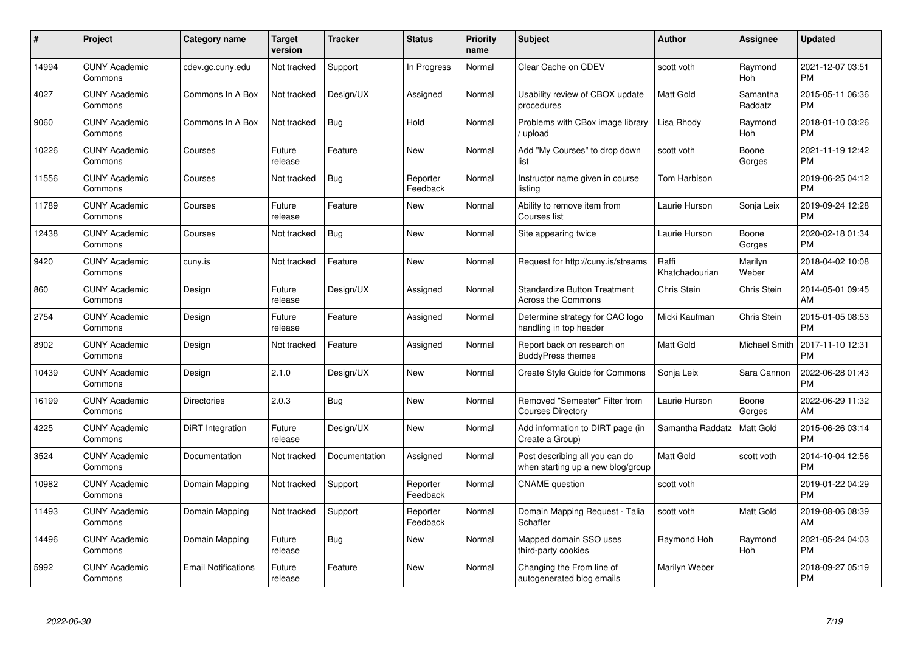| #     | Project                         | <b>Category name</b>       | <b>Target</b><br>version | <b>Tracker</b> | <b>Status</b>        | <b>Priority</b><br>name | <b>Subject</b>                                                      | <b>Author</b>           | <b>Assignee</b>     | <b>Updated</b>                |
|-------|---------------------------------|----------------------------|--------------------------|----------------|----------------------|-------------------------|---------------------------------------------------------------------|-------------------------|---------------------|-------------------------------|
| 14994 | <b>CUNY Academic</b><br>Commons | cdev.gc.cuny.edu           | Not tracked              | Support        | In Progress          | Normal                  | Clear Cache on CDEV                                                 | scott voth              | Raymond<br>Hoh      | 2021-12-07 03:51<br><b>PM</b> |
| 4027  | <b>CUNY Academic</b><br>Commons | Commons In A Box           | Not tracked              | Design/UX      | Assigned             | Normal                  | Usability review of CBOX update<br>procedures                       | <b>Matt Gold</b>        | Samantha<br>Raddatz | 2015-05-11 06:36<br><b>PM</b> |
| 9060  | <b>CUNY Academic</b><br>Commons | Commons In A Box           | Not tracked              | Bug            | Hold                 | Normal                  | Problems with CBox image library<br>/ upload                        | Lisa Rhody              | Raymond<br>Hoh      | 2018-01-10 03:26<br><b>PM</b> |
| 10226 | <b>CUNY Academic</b><br>Commons | Courses                    | Future<br>release        | Feature        | <b>New</b>           | Normal                  | Add "My Courses" to drop down<br>list                               | scott voth              | Boone<br>Gorges     | 2021-11-19 12:42<br><b>PM</b> |
| 11556 | <b>CUNY Academic</b><br>Commons | Courses                    | Not tracked              | <b>Bug</b>     | Reporter<br>Feedback | Normal                  | Instructor name given in course<br>listing                          | Tom Harbison            |                     | 2019-06-25 04:12<br><b>PM</b> |
| 11789 | <b>CUNY Academic</b><br>Commons | Courses                    | Future<br>release        | Feature        | New                  | Normal                  | Ability to remove item from<br>Courses list                         | Laurie Hurson           | Sonja Leix          | 2019-09-24 12:28<br><b>PM</b> |
| 12438 | <b>CUNY Academic</b><br>Commons | Courses                    | Not tracked              | Bug            | <b>New</b>           | Normal                  | Site appearing twice                                                | Laurie Hurson           | Boone<br>Gorges     | 2020-02-18 01:34<br><b>PM</b> |
| 9420  | <b>CUNY Academic</b><br>Commons | cuny.is                    | Not tracked              | Feature        | <b>New</b>           | Normal                  | Request for http://cuny.is/streams                                  | Raffi<br>Khatchadourian | Marilyn<br>Weber    | 2018-04-02 10:08<br>AM        |
| 860   | <b>CUNY Academic</b><br>Commons | Design                     | Future<br>release        | Design/UX      | Assigned             | Normal                  | <b>Standardize Button Treatment</b><br><b>Across the Commons</b>    | Chris Stein             | Chris Stein         | 2014-05-01 09:45<br>AM        |
| 2754  | <b>CUNY Academic</b><br>Commons | Design                     | Future<br>release        | Feature        | Assigned             | Normal                  | Determine strategy for CAC logo<br>handling in top header           | Micki Kaufman           | Chris Stein         | 2015-01-05 08:53<br><b>PM</b> |
| 8902  | <b>CUNY Academic</b><br>Commons | Design                     | Not tracked              | Feature        | Assigned             | Normal                  | Report back on research on<br><b>BuddyPress themes</b>              | Matt Gold               | Michael Smith       | 2017-11-10 12:31<br><b>PM</b> |
| 10439 | <b>CUNY Academic</b><br>Commons | Design                     | 2.1.0                    | Design/UX      | <b>New</b>           | Normal                  | Create Style Guide for Commons                                      | Sonja Leix              | Sara Cannon         | 2022-06-28 01:43<br><b>PM</b> |
| 16199 | <b>CUNY Academic</b><br>Commons | <b>Directories</b>         | 2.0.3                    | Bug            | New                  | Normal                  | Removed "Semester" Filter from<br><b>Courses Directory</b>          | Laurie Hurson           | Boone<br>Gorges     | 2022-06-29 11:32<br>AM        |
| 4225  | <b>CUNY Academic</b><br>Commons | DiRT Integration           | Future<br>release        | Design/UX      | New                  | Normal                  | Add information to DIRT page (in<br>Create a Group)                 | Samantha Raddatz        | Matt Gold           | 2015-06-26 03:14<br><b>PM</b> |
| 3524  | <b>CUNY Academic</b><br>Commons | Documentation              | Not tracked              | Documentation  | Assigned             | Normal                  | Post describing all you can do<br>when starting up a new blog/group | Matt Gold               | scott voth          | 2014-10-04 12:56<br><b>PM</b> |
| 10982 | <b>CUNY Academic</b><br>Commons | Domain Mapping             | Not tracked              | Support        | Reporter<br>Feedback | Normal                  | <b>CNAME</b> question                                               | scott voth              |                     | 2019-01-22 04:29<br><b>PM</b> |
| 11493 | <b>CUNY Academic</b><br>Commons | Domain Mapping             | Not tracked              | Support        | Reporter<br>Feedback | Normal                  | Domain Mapping Request - Talia<br>Schaffer                          | scott voth              | Matt Gold           | 2019-08-06 08:39<br>AM        |
| 14496 | <b>CUNY Academic</b><br>Commons | Domain Mapping             | Future<br>release        | Bug            | New                  | Normal                  | Mapped domain SSO uses<br>third-party cookies                       | Raymond Hoh             | Raymond<br>Hoh      | 2021-05-24 04:03<br><b>PM</b> |
| 5992  | <b>CUNY Academic</b><br>Commons | <b>Email Notifications</b> | Future<br>release        | Feature        | <b>New</b>           | Normal                  | Changing the From line of<br>autogenerated blog emails              | Marilyn Weber           |                     | 2018-09-27 05:19<br><b>PM</b> |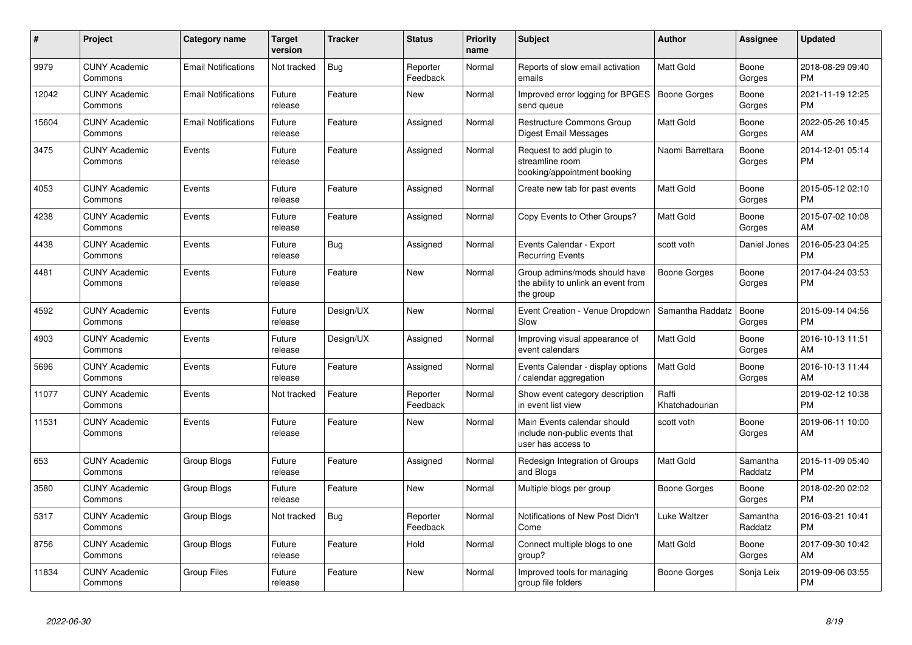| #     | Project                         | <b>Category name</b>       | <b>Target</b><br>version | <b>Tracker</b> | <b>Status</b>        | <b>Priority</b><br>name | <b>Subject</b>                                                                      | <b>Author</b>           | <b>Assignee</b>     | <b>Updated</b>                |
|-------|---------------------------------|----------------------------|--------------------------|----------------|----------------------|-------------------------|-------------------------------------------------------------------------------------|-------------------------|---------------------|-------------------------------|
| 9979  | <b>CUNY Academic</b><br>Commons | <b>Email Notifications</b> | Not tracked              | Bug            | Reporter<br>Feedback | Normal                  | Reports of slow email activation<br>emails                                          | <b>Matt Gold</b>        | Boone<br>Gorges     | 2018-08-29 09:40<br><b>PM</b> |
| 12042 | <b>CUNY Academic</b><br>Commons | <b>Email Notifications</b> | Future<br>release        | Feature        | <b>New</b>           | Normal                  | Improved error logging for BPGES<br>send queue                                      | Boone Gorges            | Boone<br>Gorges     | 2021-11-19 12:25<br><b>PM</b> |
| 15604 | <b>CUNY Academic</b><br>Commons | <b>Email Notifications</b> | Future<br>release        | Feature        | Assigned             | Normal                  | <b>Restructure Commons Group</b><br>Digest Email Messages                           | <b>Matt Gold</b>        | Boone<br>Gorges     | 2022-05-26 10:45<br>AM        |
| 3475  | <b>CUNY Academic</b><br>Commons | Events                     | Future<br>release        | Feature        | Assigned             | Normal                  | Request to add plugin to<br>streamline room<br>booking/appointment booking          | Naomi Barrettara        | Boone<br>Gorges     | 2014-12-01 05:14<br><b>PM</b> |
| 4053  | <b>CUNY Academic</b><br>Commons | Events                     | Future<br>release        | Feature        | Assigned             | Normal                  | Create new tab for past events                                                      | <b>Matt Gold</b>        | Boone<br>Gorges     | 2015-05-12 02:10<br><b>PM</b> |
| 4238  | <b>CUNY Academic</b><br>Commons | Events                     | Future<br>release        | Feature        | Assigned             | Normal                  | Copy Events to Other Groups?                                                        | <b>Matt Gold</b>        | Boone<br>Gorges     | 2015-07-02 10:08<br>AM        |
| 4438  | <b>CUNY Academic</b><br>Commons | Events                     | Future<br>release        | Bug            | Assigned             | Normal                  | Events Calendar - Export<br><b>Recurring Events</b>                                 | scott voth              | Daniel Jones        | 2016-05-23 04:25<br><b>PM</b> |
| 4481  | <b>CUNY Academic</b><br>Commons | Events                     | Future<br>release        | Feature        | New                  | Normal                  | Group admins/mods should have<br>the ability to unlink an event from<br>the group   | Boone Gorges            | Boone<br>Gorges     | 2017-04-24 03:53<br><b>PM</b> |
| 4592  | <b>CUNY Academic</b><br>Commons | Events                     | Future<br>release        | Design/UX      | <b>New</b>           | Normal                  | Event Creation - Venue Dropdown<br>Slow                                             | Samantha Raddatz        | Boone<br>Gorges     | 2015-09-14 04:56<br><b>PM</b> |
| 4903  | <b>CUNY Academic</b><br>Commons | Events                     | Future<br>release        | Design/UX      | Assigned             | Normal                  | Improving visual appearance of<br>event calendars                                   | <b>Matt Gold</b>        | Boone<br>Gorges     | 2016-10-13 11:51<br>AM        |
| 5696  | <b>CUNY Academic</b><br>Commons | Events                     | Future<br>release        | Feature        | Assigned             | Normal                  | Events Calendar - display options<br>/ calendar aggregation                         | <b>Matt Gold</b>        | Boone<br>Gorges     | 2016-10-13 11:44<br>AM        |
| 11077 | <b>CUNY Academic</b><br>Commons | Events                     | Not tracked              | Feature        | Reporter<br>Feedback | Normal                  | Show event category description<br>in event list view                               | Raffi<br>Khatchadourian |                     | 2019-02-12 10:38<br><b>PM</b> |
| 11531 | <b>CUNY Academic</b><br>Commons | Events                     | Future<br>release        | Feature        | <b>New</b>           | Normal                  | Main Events calendar should<br>include non-public events that<br>user has access to | scott voth              | Boone<br>Gorges     | 2019-06-11 10:00<br>AM        |
| 653   | <b>CUNY Academic</b><br>Commons | Group Blogs                | Future<br>release        | Feature        | Assigned             | Normal                  | Redesign Integration of Groups<br>and Blogs                                         | <b>Matt Gold</b>        | Samantha<br>Raddatz | 2015-11-09 05:40<br><b>PM</b> |
| 3580  | <b>CUNY Academic</b><br>Commons | Group Blogs                | Future<br>release        | Feature        | New                  | Normal                  | Multiple blogs per group                                                            | Boone Gorges            | Boone<br>Gorges     | 2018-02-20 02:02<br><b>PM</b> |
| 5317  | <b>CUNY Academic</b><br>Commons | Group Blogs                | Not tracked              | <b>Bug</b>     | Reporter<br>Feedback | Normal                  | Notifications of New Post Didn't<br>Come                                            | Luke Waltzer            | Samantha<br>Raddatz | 2016-03-21 10:41<br><b>PM</b> |
| 8756  | <b>CUNY Academic</b><br>Commons | Group Blogs                | Future<br>release        | Feature        | Hold                 | Normal                  | Connect multiple blogs to one<br>group?                                             | Matt Gold               | Boone<br>Gorges     | 2017-09-30 10:42<br>AM        |
| 11834 | <b>CUNY Academic</b><br>Commons | Group Files                | Future<br>release        | Feature        | <b>New</b>           | Normal                  | Improved tools for managing<br>group file folders                                   | Boone Gorges            | Sonja Leix          | 2019-09-06 03:55<br><b>PM</b> |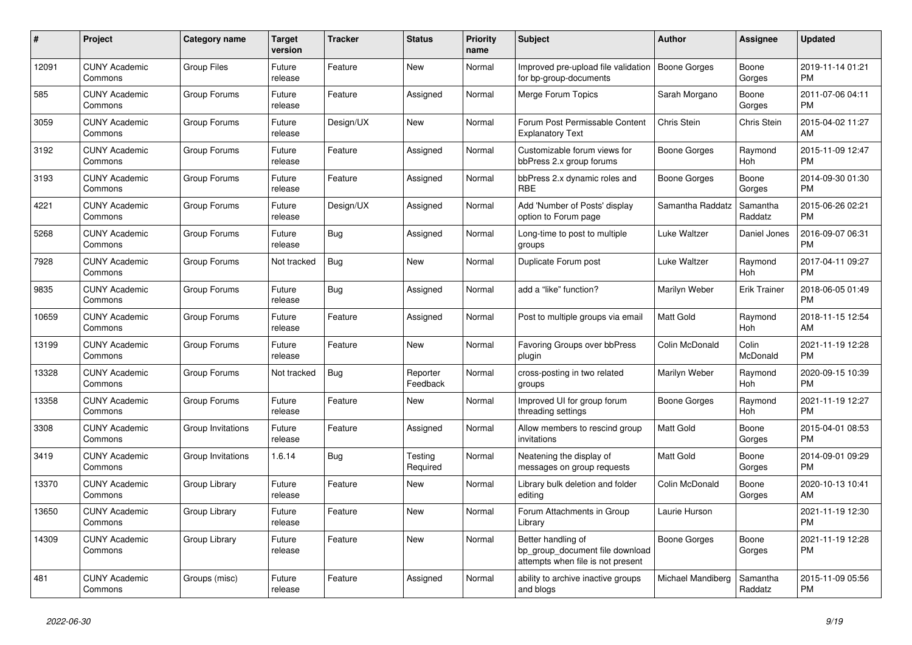| $\#$  | Project                         | <b>Category name</b> | <b>Target</b><br>version | <b>Tracker</b> | <b>Status</b>        | <b>Priority</b><br>name | <b>Subject</b>                                                                             | <b>Author</b>     | Assignee            | <b>Updated</b>                |
|-------|---------------------------------|----------------------|--------------------------|----------------|----------------------|-------------------------|--------------------------------------------------------------------------------------------|-------------------|---------------------|-------------------------------|
| 12091 | <b>CUNY Academic</b><br>Commons | <b>Group Files</b>   | Future<br>release        | Feature        | <b>New</b>           | Normal                  | Improved pre-upload file validation<br>for bp-group-documents                              | Boone Gorges      | Boone<br>Gorges     | 2019-11-14 01:21<br><b>PM</b> |
| 585   | <b>CUNY Academic</b><br>Commons | Group Forums         | Future<br>release        | Feature        | Assigned             | Normal                  | Merge Forum Topics                                                                         | Sarah Morgano     | Boone<br>Gorges     | 2011-07-06 04:11<br><b>PM</b> |
| 3059  | <b>CUNY Academic</b><br>Commons | Group Forums         | Future<br>release        | Design/UX      | New                  | Normal                  | Forum Post Permissable Content<br><b>Explanatory Text</b>                                  | Chris Stein       | Chris Stein         | 2015-04-02 11:27<br>AM        |
| 3192  | <b>CUNY Academic</b><br>Commons | Group Forums         | Future<br>release        | Feature        | Assigned             | Normal                  | Customizable forum views for<br>bbPress 2.x group forums                                   | Boone Gorges      | Raymond<br>Hoh      | 2015-11-09 12:47<br><b>PM</b> |
| 3193  | <b>CUNY Academic</b><br>Commons | Group Forums         | Future<br>release        | Feature        | Assigned             | Normal                  | bbPress 2.x dynamic roles and<br><b>RBE</b>                                                | Boone Gorges      | Boone<br>Gorges     | 2014-09-30 01:30<br><b>PM</b> |
| 4221  | <b>CUNY Academic</b><br>Commons | Group Forums         | Future<br>release        | Design/UX      | Assigned             | Normal                  | Add 'Number of Posts' display<br>option to Forum page                                      | Samantha Raddatz  | Samantha<br>Raddatz | 2015-06-26 02:21<br><b>PM</b> |
| 5268  | <b>CUNY Academic</b><br>Commons | Group Forums         | Future<br>release        | Bug            | Assigned             | Normal                  | Long-time to post to multiple<br>groups                                                    | Luke Waltzer      | Daniel Jones        | 2016-09-07 06:31<br><b>PM</b> |
| 7928  | <b>CUNY Academic</b><br>Commons | Group Forums         | Not tracked              | Bug            | <b>New</b>           | Normal                  | Duplicate Forum post                                                                       | Luke Waltzer      | Raymond<br>Hoh      | 2017-04-11 09:27<br><b>PM</b> |
| 9835  | <b>CUNY Academic</b><br>Commons | Group Forums         | Future<br>release        | <b>Bug</b>     | Assigned             | Normal                  | add a "like" function?                                                                     | Marilyn Weber     | <b>Erik Trainer</b> | 2018-06-05 01:49<br><b>PM</b> |
| 10659 | <b>CUNY Academic</b><br>Commons | Group Forums         | Future<br>release        | Feature        | Assigned             | Normal                  | Post to multiple groups via email                                                          | Matt Gold         | Raymond<br>Hoh      | 2018-11-15 12:54<br>AM        |
| 13199 | <b>CUNY Academic</b><br>Commons | Group Forums         | Future<br>release        | Feature        | <b>New</b>           | Normal                  | Favoring Groups over bbPress<br>plugin                                                     | Colin McDonald    | Colin<br>McDonald   | 2021-11-19 12:28<br><b>PM</b> |
| 13328 | <b>CUNY Academic</b><br>Commons | Group Forums         | Not tracked              | <b>Bug</b>     | Reporter<br>Feedback | Normal                  | cross-posting in two related<br>groups                                                     | Marilyn Weber     | Raymond<br>Hoh      | 2020-09-15 10:39<br><b>PM</b> |
| 13358 | <b>CUNY Academic</b><br>Commons | Group Forums         | Future<br>release        | Feature        | New                  | Normal                  | Improved UI for group forum<br>threading settings                                          | Boone Gorges      | Raymond<br>Hoh      | 2021-11-19 12:27<br><b>PM</b> |
| 3308  | <b>CUNY Academic</b><br>Commons | Group Invitations    | Future<br>release        | Feature        | Assigned             | Normal                  | Allow members to rescind group<br>invitations                                              | <b>Matt Gold</b>  | Boone<br>Gorges     | 2015-04-01 08:53<br><b>PM</b> |
| 3419  | <b>CUNY Academic</b><br>Commons | Group Invitations    | 1.6.14                   | <b>Bug</b>     | Testing<br>Required  | Normal                  | Neatening the display of<br>messages on group requests                                     | Matt Gold         | Boone<br>Gorges     | 2014-09-01 09:29<br><b>PM</b> |
| 13370 | <b>CUNY Academic</b><br>Commons | Group Library        | Future<br>release        | Feature        | New                  | Normal                  | Library bulk deletion and folder<br>editing                                                | Colin McDonald    | Boone<br>Gorges     | 2020-10-13 10:41<br>AM        |
| 13650 | <b>CUNY Academic</b><br>Commons | Group Library        | Future<br>release        | Feature        | New                  | Normal                  | Forum Attachments in Group<br>Library                                                      | Laurie Hurson     |                     | 2021-11-19 12:30<br><b>PM</b> |
| 14309 | <b>CUNY Academic</b><br>Commons | Group Library        | Future<br>release        | Feature        | <b>New</b>           | Normal                  | Better handling of<br>bp group document file download<br>attempts when file is not present | Boone Gorges      | Boone<br>Gorges     | 2021-11-19 12:28<br><b>PM</b> |
| 481   | <b>CUNY Academic</b><br>Commons | Groups (misc)        | Future<br>release        | Feature        | Assigned             | Normal                  | ability to archive inactive groups<br>and blogs                                            | Michael Mandiberg | Samantha<br>Raddatz | 2015-11-09 05:56<br><b>PM</b> |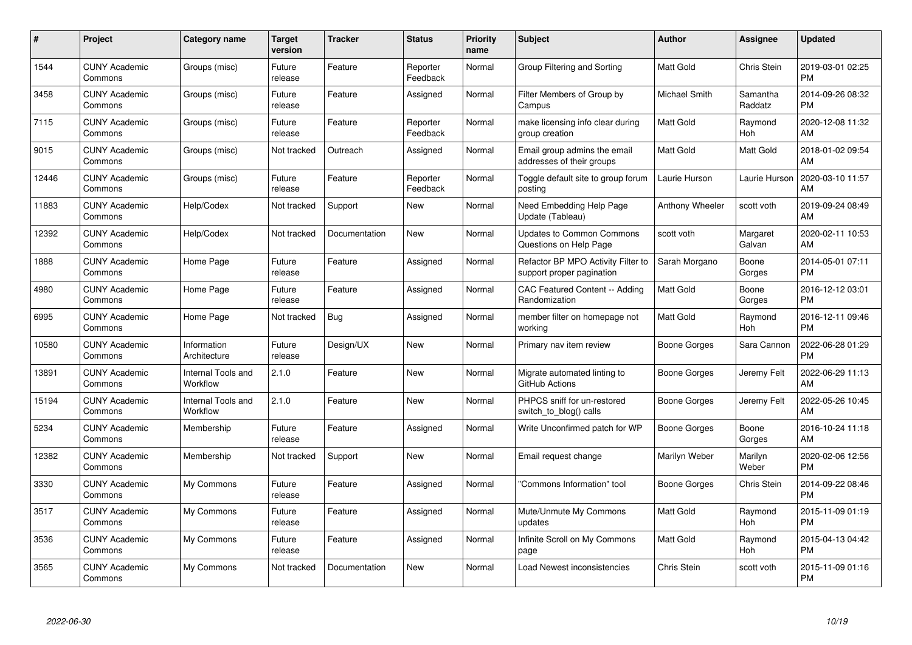| $\#$  | Project                         | <b>Category name</b>           | <b>Target</b><br>version | <b>Tracker</b> | <b>Status</b>        | Priority<br>name | <b>Subject</b>                                                  | <b>Author</b>        | <b>Assignee</b>     | <b>Updated</b>                |
|-------|---------------------------------|--------------------------------|--------------------------|----------------|----------------------|------------------|-----------------------------------------------------------------|----------------------|---------------------|-------------------------------|
| 1544  | <b>CUNY Academic</b><br>Commons | Groups (misc)                  | Future<br>release        | Feature        | Reporter<br>Feedback | Normal           | Group Filtering and Sorting                                     | <b>Matt Gold</b>     | Chris Stein         | 2019-03-01 02:25<br><b>PM</b> |
| 3458  | <b>CUNY Academic</b><br>Commons | Groups (misc)                  | Future<br>release        | Feature        | Assigned             | Normal           | Filter Members of Group by<br>Campus                            | <b>Michael Smith</b> | Samantha<br>Raddatz | 2014-09-26 08:32<br><b>PM</b> |
| 7115  | <b>CUNY Academic</b><br>Commons | Groups (misc)                  | Future<br>release        | Feature        | Reporter<br>Feedback | Normal           | make licensing info clear during<br>group creation              | Matt Gold            | Raymond<br>Hoh      | 2020-12-08 11:32<br>AM        |
| 9015  | <b>CUNY Academic</b><br>Commons | Groups (misc)                  | Not tracked              | Outreach       | Assigned             | Normal           | Email group admins the email<br>addresses of their groups       | <b>Matt Gold</b>     | Matt Gold           | 2018-01-02 09:54<br>AM        |
| 12446 | <b>CUNY Academic</b><br>Commons | Groups (misc)                  | Future<br>release        | Feature        | Reporter<br>Feedback | Normal           | Toggle default site to group forum<br>posting                   | Laurie Hurson        | Laurie Hurson       | 2020-03-10 11:57<br>AM        |
| 11883 | <b>CUNY Academic</b><br>Commons | Help/Codex                     | Not tracked              | Support        | <b>New</b>           | Normal           | Need Embedding Help Page<br>Update (Tableau)                    | Anthony Wheeler      | scott voth          | 2019-09-24 08:49<br>AM        |
| 12392 | <b>CUNY Academic</b><br>Commons | Help/Codex                     | Not tracked              | Documentation  | New                  | Normal           | <b>Updates to Common Commons</b><br>Questions on Help Page      | scott voth           | Margaret<br>Galvan  | 2020-02-11 10:53<br>AM        |
| 1888  | <b>CUNY Academic</b><br>Commons | Home Page                      | Future<br>release        | Feature        | Assigned             | Normal           | Refactor BP MPO Activity Filter to<br>support proper pagination | Sarah Morgano        | Boone<br>Gorges     | 2014-05-01 07:11<br><b>PM</b> |
| 4980  | <b>CUNY Academic</b><br>Commons | Home Page                      | Future<br>release        | Feature        | Assigned             | Normal           | CAC Featured Content -- Adding<br>Randomization                 | <b>Matt Gold</b>     | Boone<br>Gorges     | 2016-12-12 03:01<br><b>PM</b> |
| 6995  | <b>CUNY Academic</b><br>Commons | Home Page                      | Not tracked              | Bug            | Assigned             | Normal           | member filter on homepage not<br>working                        | <b>Matt Gold</b>     | Raymond<br>Hoh      | 2016-12-11 09:46<br><b>PM</b> |
| 10580 | <b>CUNY Academic</b><br>Commons | Information<br>Architecture    | Future<br>release        | Design/UX      | New                  | Normal           | Primary nav item review                                         | Boone Gorges         | Sara Cannon         | 2022-06-28 01:29<br><b>PM</b> |
| 13891 | <b>CUNY Academic</b><br>Commons | Internal Tools and<br>Workflow | 2.1.0                    | Feature        | <b>New</b>           | Normal           | Migrate automated linting to<br>GitHub Actions                  | Boone Gorges         | Jeremy Felt         | 2022-06-29 11:13<br>AM        |
| 15194 | <b>CUNY Academic</b><br>Commons | Internal Tools and<br>Workflow | 2.1.0                    | Feature        | New                  | Normal           | PHPCS sniff for un-restored<br>switch_to_blog() calls           | Boone Gorges         | Jeremy Felt         | 2022-05-26 10:45<br>AM        |
| 5234  | <b>CUNY Academic</b><br>Commons | Membership                     | Future<br>release        | Feature        | Assigned             | Normal           | Write Unconfirmed patch for WP                                  | <b>Boone Gorges</b>  | Boone<br>Gorges     | 2016-10-24 11:18<br>AM        |
| 12382 | <b>CUNY Academic</b><br>Commons | Membership                     | Not tracked              | Support        | New                  | Normal           | Email request change                                            | Marilyn Weber        | Marilyn<br>Weber    | 2020-02-06 12:56<br><b>PM</b> |
| 3330  | <b>CUNY Academic</b><br>Commons | My Commons                     | Future<br>release        | Feature        | Assigned             | Normal           | "Commons Information" tool                                      | Boone Gorges         | Chris Stein         | 2014-09-22 08:46<br><b>PM</b> |
| 3517  | <b>CUNY Academic</b><br>Commons | My Commons                     | Future<br>release        | Feature        | Assigned             | Normal           | Mute/Unmute My Commons<br>updates                               | <b>Matt Gold</b>     | Raymond<br>Hoh      | 2015-11-09 01:19<br><b>PM</b> |
| 3536  | <b>CUNY Academic</b><br>Commons | My Commons                     | Future<br>release        | Feature        | Assigned             | Normal           | Infinite Scroll on My Commons<br>page                           | <b>Matt Gold</b>     | Raymond<br>Hoh      | 2015-04-13 04:42<br><b>PM</b> |
| 3565  | CUNY Academic<br>Commons        | My Commons                     | Not tracked              | Documentation  | <b>New</b>           | Normal           | Load Newest inconsistencies                                     | Chris Stein          | scott voth          | 2015-11-09 01:16<br><b>PM</b> |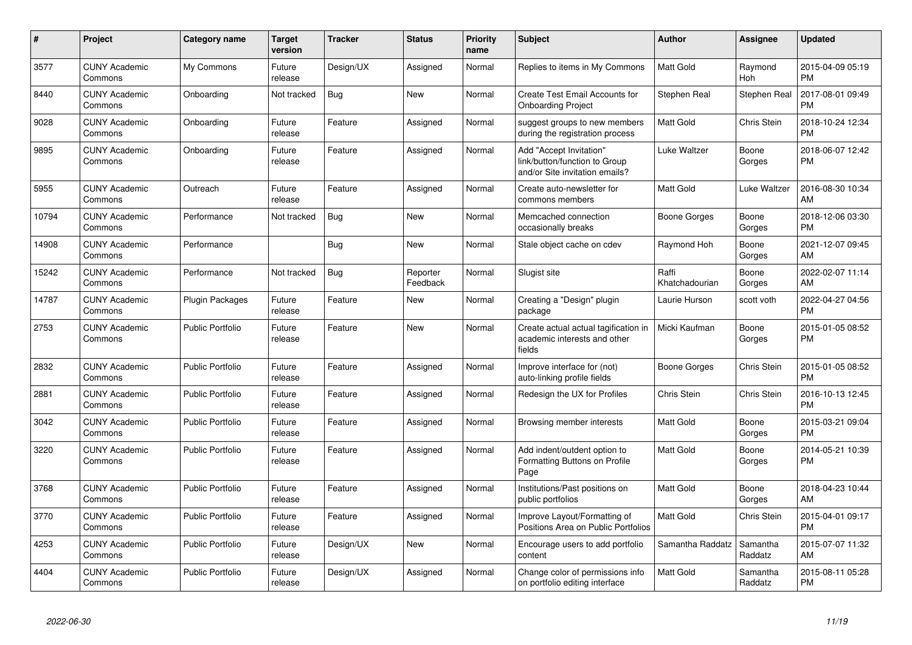| #     | Project                         | <b>Category name</b>    | <b>Target</b><br>version | <b>Tracker</b> | <b>Status</b>        | Priority<br>name | <b>Subject</b>                                                                             | Author                  | <b>Assignee</b>     | <b>Updated</b>                |
|-------|---------------------------------|-------------------------|--------------------------|----------------|----------------------|------------------|--------------------------------------------------------------------------------------------|-------------------------|---------------------|-------------------------------|
| 3577  | <b>CUNY Academic</b><br>Commons | My Commons              | Future<br>release        | Design/UX      | Assigned             | Normal           | Replies to items in My Commons                                                             | <b>Matt Gold</b>        | Raymond<br>Hoh      | 2015-04-09 05:19<br><b>PM</b> |
| 8440  | <b>CUNY Academic</b><br>Commons | Onboarding              | Not tracked              | Bug            | <b>New</b>           | Normal           | Create Test Email Accounts for<br><b>Onboarding Project</b>                                | Stephen Real            | Stephen Real        | 2017-08-01 09:49<br><b>PM</b> |
| 9028  | <b>CUNY Academic</b><br>Commons | Onboarding              | Future<br>release        | Feature        | Assigned             | Normal           | suggest groups to new members<br>during the registration process                           | Matt Gold               | Chris Stein         | 2018-10-24 12:34<br><b>PM</b> |
| 9895  | <b>CUNY Academic</b><br>Commons | Onboarding              | Future<br>release        | Feature        | Assigned             | Normal           | Add "Accept Invitation"<br>link/button/function to Group<br>and/or Site invitation emails? | Luke Waltzer            | Boone<br>Gorges     | 2018-06-07 12:42<br><b>PM</b> |
| 5955  | <b>CUNY Academic</b><br>Commons | Outreach                | Future<br>release        | Feature        | Assigned             | Normal           | Create auto-newsletter for<br>commons members                                              | <b>Matt Gold</b>        | Luke Waltzer        | 2016-08-30 10:34<br>AM        |
| 10794 | <b>CUNY Academic</b><br>Commons | Performance             | Not tracked              | Bug            | New                  | Normal           | Memcached connection<br>occasionally breaks                                                | Boone Gorges            | Boone<br>Gorges     | 2018-12-06 03:30<br><b>PM</b> |
| 14908 | <b>CUNY Academic</b><br>Commons | Performance             |                          | Bug            | <b>New</b>           | Normal           | Stale object cache on cdev                                                                 | Raymond Hoh             | Boone<br>Gorges     | 2021-12-07 09:45<br>AM        |
| 15242 | <b>CUNY Academic</b><br>Commons | Performance             | Not tracked              | Bug            | Reporter<br>Feedback | Normal           | Slugist site                                                                               | Raffi<br>Khatchadourian | Boone<br>Gorges     | 2022-02-07 11:14<br>AM        |
| 14787 | <b>CUNY Academic</b><br>Commons | Plugin Packages         | Future<br>release        | Feature        | <b>New</b>           | Normal           | Creating a "Design" plugin<br>package                                                      | Laurie Hurson           | scott voth          | 2022-04-27 04:56<br><b>PM</b> |
| 2753  | <b>CUNY Academic</b><br>Commons | <b>Public Portfolio</b> | Future<br>release        | Feature        | <b>New</b>           | Normal           | Create actual actual tagification in<br>academic interests and other<br>fields             | Micki Kaufman           | Boone<br>Gorges     | 2015-01-05 08:52<br>PM.       |
| 2832  | <b>CUNY Academic</b><br>Commons | <b>Public Portfolio</b> | Future<br>release        | Feature        | Assigned             | Normal           | Improve interface for (not)<br>auto-linking profile fields                                 | Boone Gorges            | Chris Stein         | 2015-01-05 08:52<br><b>PM</b> |
| 2881  | <b>CUNY Academic</b><br>Commons | Public Portfolio        | Future<br>release        | Feature        | Assigned             | Normal           | Redesign the UX for Profiles                                                               | Chris Stein             | Chris Stein         | 2016-10-13 12:45<br><b>PM</b> |
| 3042  | <b>CUNY Academic</b><br>Commons | <b>Public Portfolio</b> | Future<br>release        | Feature        | Assigned             | Normal           | Browsing member interests                                                                  | Matt Gold               | Boone<br>Gorges     | 2015-03-21 09:04<br><b>PM</b> |
| 3220  | <b>CUNY Academic</b><br>Commons | <b>Public Portfolio</b> | Future<br>release        | Feature        | Assigned             | Normal           | Add indent/outdent option to<br>Formatting Buttons on Profile<br>Page                      | <b>Matt Gold</b>        | Boone<br>Gorges     | 2014-05-21 10:39<br><b>PM</b> |
| 3768  | <b>CUNY Academic</b><br>Commons | <b>Public Portfolio</b> | Future<br>release        | Feature        | Assigned             | Normal           | Institutions/Past positions on<br>public portfolios                                        | <b>Matt Gold</b>        | Boone<br>Gorges     | 2018-04-23 10:44<br>AM        |
| 3770  | <b>CUNY Academic</b><br>Commons | <b>Public Portfolio</b> | Future<br>release        | Feature        | Assigned             | Normal           | Improve Layout/Formatting of<br>Positions Area on Public Portfolios                        | <b>Matt Gold</b>        | Chris Stein         | 2015-04-01 09:17<br><b>PM</b> |
| 4253  | <b>CUNY Academic</b><br>Commons | Public Portfolio        | Future<br>release        | Design/UX      | <b>New</b>           | Normal           | Encourage users to add portfolio<br>content                                                | Samantha Raddatz        | Samantha<br>Raddatz | 2015-07-07 11:32<br>AM        |
| 4404  | <b>CUNY Academic</b><br>Commons | <b>Public Portfolio</b> | Future<br>release        | Design/UX      | Assigned             | Normal           | Change color of permissions info<br>on portfolio editing interface                         | Matt Gold               | Samantha<br>Raddatz | 2015-08-11 05:28<br>PM        |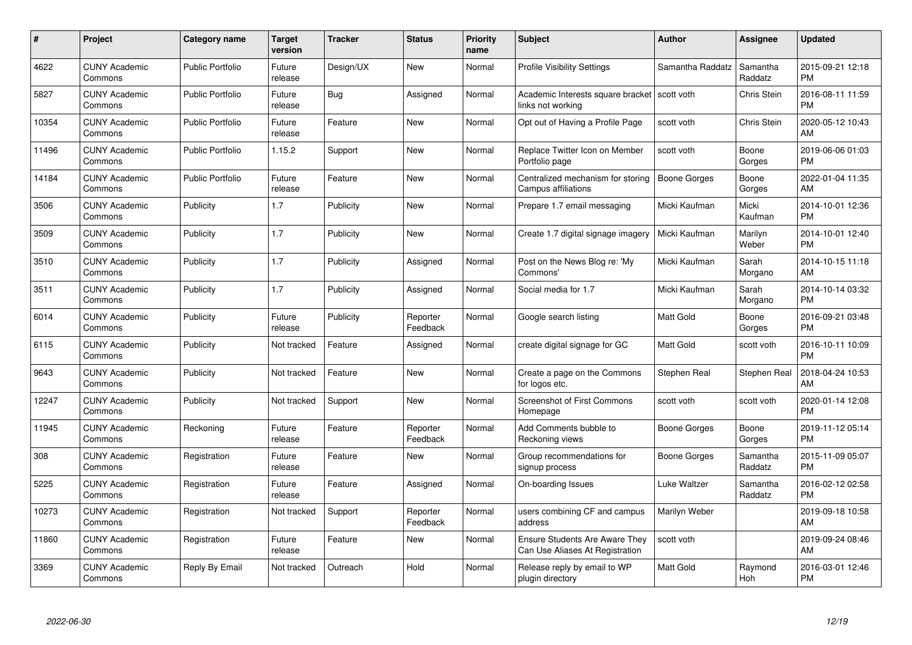| $\pmb{\#}$ | Project                         | <b>Category name</b>    | <b>Target</b><br>version | <b>Tracker</b> | <b>Status</b>        | Priority<br>name | <b>Subject</b>                                                           | <b>Author</b>       | <b>Assignee</b>     | <b>Updated</b>                |
|------------|---------------------------------|-------------------------|--------------------------|----------------|----------------------|------------------|--------------------------------------------------------------------------|---------------------|---------------------|-------------------------------|
| 4622       | <b>CUNY Academic</b><br>Commons | <b>Public Portfolio</b> | Future<br>release        | Design/UX      | <b>New</b>           | Normal           | <b>Profile Visibility Settings</b>                                       | Samantha Raddatz    | Samantha<br>Raddatz | 2015-09-21 12:18<br><b>PM</b> |
| 5827       | <b>CUNY Academic</b><br>Commons | <b>Public Portfolio</b> | Future<br>release        | Bug            | Assigned             | Normal           | Academic Interests square bracket<br>links not working                   | scott voth          | <b>Chris Stein</b>  | 2016-08-11 11:59<br><b>PM</b> |
| 10354      | <b>CUNY Academic</b><br>Commons | <b>Public Portfolio</b> | Future<br>release        | Feature        | <b>New</b>           | Normal           | Opt out of Having a Profile Page                                         | scott voth          | Chris Stein         | 2020-05-12 10:43<br>AM        |
| 11496      | <b>CUNY Academic</b><br>Commons | <b>Public Portfolio</b> | 1.15.2                   | Support        | <b>New</b>           | Normal           | Replace Twitter Icon on Member<br>Portfolio page                         | scott voth          | Boone<br>Gorges     | 2019-06-06 01:03<br><b>PM</b> |
| 14184      | <b>CUNY Academic</b><br>Commons | <b>Public Portfolio</b> | Future<br>release        | Feature        | <b>New</b>           | Normal           | Centralized mechanism for storing<br>Campus affiliations                 | <b>Boone Gorges</b> | Boone<br>Gorges     | 2022-01-04 11:35<br>AM        |
| 3506       | <b>CUNY Academic</b><br>Commons | Publicity               | 1.7                      | Publicity      | <b>New</b>           | Normal           | Prepare 1.7 email messaging                                              | Micki Kaufman       | Micki<br>Kaufman    | 2014-10-01 12:36<br><b>PM</b> |
| 3509       | <b>CUNY Academic</b><br>Commons | Publicity               | 1.7                      | Publicity      | New                  | Normal           | Create 1.7 digital signage imagery                                       | Micki Kaufman       | Marilyn<br>Weber    | 2014-10-01 12:40<br><b>PM</b> |
| 3510       | <b>CUNY Academic</b><br>Commons | Publicity               | 1.7                      | Publicity      | Assigned             | Normal           | Post on the News Blog re: 'My<br>Commons'                                | Micki Kaufman       | Sarah<br>Morgano    | 2014-10-15 11:18<br>AM        |
| 3511       | <b>CUNY Academic</b><br>Commons | Publicity               | 1.7                      | Publicity      | Assigned             | Normal           | Social media for 1.7                                                     | Micki Kaufman       | Sarah<br>Morgano    | 2014-10-14 03:32<br><b>PM</b> |
| 6014       | <b>CUNY Academic</b><br>Commons | Publicity               | Future<br>release        | Publicity      | Reporter<br>Feedback | Normal           | Google search listing                                                    | <b>Matt Gold</b>    | Boone<br>Gorges     | 2016-09-21 03:48<br><b>PM</b> |
| 6115       | <b>CUNY Academic</b><br>Commons | Publicity               | Not tracked              | Feature        | Assigned             | Normal           | create digital signage for GC                                            | Matt Gold           | scott voth          | 2016-10-11 10:09<br><b>PM</b> |
| 9643       | <b>CUNY Academic</b><br>Commons | Publicity               | Not tracked              | Feature        | New                  | Normal           | Create a page on the Commons<br>for logos etc.                           | Stephen Real        | Stephen Real        | 2018-04-24 10:53<br>AM        |
| 12247      | <b>CUNY Academic</b><br>Commons | Publicity               | Not tracked              | Support        | New                  | Normal           | <b>Screenshot of First Commons</b><br>Homepage                           | scott voth          | scott voth          | 2020-01-14 12:08<br><b>PM</b> |
| 11945      | <b>CUNY Academic</b><br>Commons | Reckoning               | Future<br>release        | Feature        | Reporter<br>Feedback | Normal           | Add Comments bubble to<br>Reckoning views                                | Boone Gorges        | Boone<br>Gorges     | 2019-11-12 05:14<br><b>PM</b> |
| 308        | <b>CUNY Academic</b><br>Commons | Registration            | Future<br>release        | Feature        | New                  | Normal           | Group recommendations for<br>signup process                              | Boone Gorges        | Samantha<br>Raddatz | 2015-11-09 05:07<br><b>PM</b> |
| 5225       | <b>CUNY Academic</b><br>Commons | Registration            | Future<br>release        | Feature        | Assigned             | Normal           | On-boarding Issues                                                       | Luke Waltzer        | Samantha<br>Raddatz | 2016-02-12 02:58<br><b>PM</b> |
| 10273      | <b>CUNY Academic</b><br>Commons | Registration            | Not tracked              | Support        | Reporter<br>Feedback | Normal           | users combining CF and campus<br>address                                 | Marilyn Weber       |                     | 2019-09-18 10:58<br>AM        |
| 11860      | <b>CUNY Academic</b><br>Commons | Registration            | Future<br>release        | Feature        | New                  | Normal           | <b>Ensure Students Are Aware They</b><br>Can Use Aliases At Registration | scott voth          |                     | 2019-09-24 08:46<br>AM        |
| 3369       | CUNY Academic<br>Commons        | Reply By Email          | Not tracked              | Outreach       | Hold                 | Normal           | Release reply by email to WP<br>plugin directory                         | <b>Matt Gold</b>    | Raymond<br>Hoh      | 2016-03-01 12:46<br>PM        |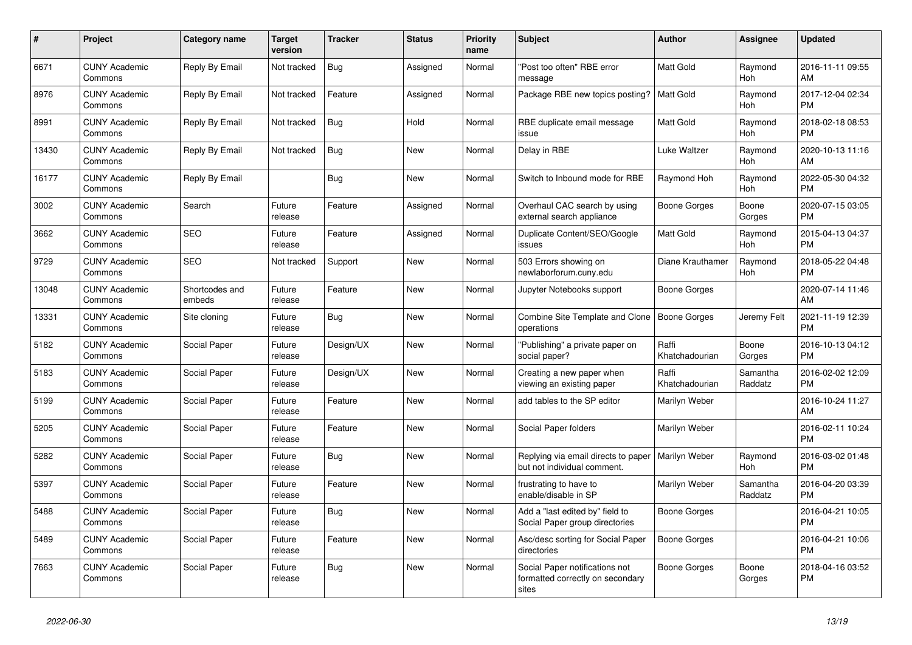| #     | <b>Project</b>                  | Category name            | <b>Target</b><br>version | <b>Tracker</b> | <b>Status</b> | <b>Priority</b><br>name | <b>Subject</b>                                                              | <b>Author</b>           | Assignee              | <b>Updated</b>                |
|-------|---------------------------------|--------------------------|--------------------------|----------------|---------------|-------------------------|-----------------------------------------------------------------------------|-------------------------|-----------------------|-------------------------------|
| 6671  | <b>CUNY Academic</b><br>Commons | Reply By Email           | Not tracked              | Bug            | Assigned      | Normal                  | "Post too often" RBE error<br>message                                       | <b>Matt Gold</b>        | Raymond<br>Hoh        | 2016-11-11 09:55<br>AM        |
| 8976  | <b>CUNY Academic</b><br>Commons | Reply By Email           | Not tracked              | Feature        | Assigned      | Normal                  | Package RBE new topics posting?                                             | <b>Matt Gold</b>        | Raymond<br>Hoh        | 2017-12-04 02:34<br><b>PM</b> |
| 8991  | <b>CUNY Academic</b><br>Commons | Reply By Email           | Not tracked              | Bug            | Hold          | Normal                  | RBE duplicate email message<br>issue                                        | Matt Gold               | Raymond<br>Hoh        | 2018-02-18 08:53<br><b>PM</b> |
| 13430 | <b>CUNY Academic</b><br>Commons | Reply By Email           | Not tracked              | <b>Bug</b>     | <b>New</b>    | Normal                  | Delay in RBE                                                                | Luke Waltzer            | Raymond<br>Hoh        | 2020-10-13 11:16<br>AM        |
| 16177 | <b>CUNY Academic</b><br>Commons | Reply By Email           |                          | Bug            | <b>New</b>    | Normal                  | Switch to Inbound mode for RBE                                              | Raymond Hoh             | Raymond<br>Hoh        | 2022-05-30 04:32<br><b>PM</b> |
| 3002  | <b>CUNY Academic</b><br>Commons | Search                   | Future<br>release        | Feature        | Assigned      | Normal                  | Overhaul CAC search by using<br>external search appliance                   | Boone Gorges            | Boone<br>Gorges       | 2020-07-15 03:05<br><b>PM</b> |
| 3662  | <b>CUNY Academic</b><br>Commons | <b>SEO</b>               | Future<br>release        | Feature        | Assigned      | Normal                  | Duplicate Content/SEO/Google<br>issues                                      | <b>Matt Gold</b>        | Raymond<br><b>Hoh</b> | 2015-04-13 04:37<br><b>PM</b> |
| 9729  | <b>CUNY Academic</b><br>Commons | <b>SEO</b>               | Not tracked              | Support        | <b>New</b>    | Normal                  | 503 Errors showing on<br>newlaborforum.cuny.edu                             | Diane Krauthamer        | Raymond<br>Hoh        | 2018-05-22 04:48<br><b>PM</b> |
| 13048 | <b>CUNY Academic</b><br>Commons | Shortcodes and<br>embeds | Future<br>release        | Feature        | New           | Normal                  | Jupyter Notebooks support                                                   | Boone Gorges            |                       | 2020-07-14 11:46<br>AM        |
| 13331 | <b>CUNY Academic</b><br>Commons | Site cloning             | Future<br>release        | <b>Bug</b>     | <b>New</b>    | Normal                  | Combine Site Template and Clone   Boone Gorges<br>operations                |                         | Jeremy Felt           | 2021-11-19 12:39<br><b>PM</b> |
| 5182  | <b>CUNY Academic</b><br>Commons | Social Paper             | Future<br>release        | Design/UX      | <b>New</b>    | Normal                  | "Publishing" a private paper on<br>social paper?                            | Raffi<br>Khatchadourian | Boone<br>Gorges       | 2016-10-13 04:12<br><b>PM</b> |
| 5183  | <b>CUNY Academic</b><br>Commons | Social Paper             | Future<br>release        | Design/UX      | New           | Normal                  | Creating a new paper when<br>viewing an existing paper                      | Raffi<br>Khatchadourian | Samantha<br>Raddatz   | 2016-02-02 12:09<br><b>PM</b> |
| 5199  | <b>CUNY Academic</b><br>Commons | Social Paper             | Future<br>release        | Feature        | New           | Normal                  | add tables to the SP editor                                                 | Marilyn Weber           |                       | 2016-10-24 11:27<br>AM        |
| 5205  | <b>CUNY Academic</b><br>Commons | Social Paper             | Future<br>release        | Feature        | <b>New</b>    | Normal                  | Social Paper folders                                                        | Marilyn Weber           |                       | 2016-02-11 10:24<br><b>PM</b> |
| 5282  | <b>CUNY Academic</b><br>Commons | Social Paper             | Future<br>release        | Bug            | <b>New</b>    | Normal                  | Replying via email directs to paper<br>but not individual comment.          | Marilyn Weber           | Raymond<br>Hoh        | 2016-03-02 01:48<br><b>PM</b> |
| 5397  | <b>CUNY Academic</b><br>Commons | Social Paper             | Future<br>release        | Feature        | New           | Normal                  | frustrating to have to<br>enable/disable in SP                              | Marilyn Weber           | Samantha<br>Raddatz   | 2016-04-20 03:39<br><b>PM</b> |
| 5488  | <b>CUNY Academic</b><br>Commons | Social Paper             | Future<br>release        | Bug            | <b>New</b>    | Normal                  | Add a "last edited by" field to<br>Social Paper group directories           | Boone Gorges            |                       | 2016-04-21 10:05<br><b>PM</b> |
| 5489  | <b>CUNY Academic</b><br>Commons | Social Paper             | Future<br>release        | Feature        | <b>New</b>    | Normal                  | Asc/desc sorting for Social Paper<br>directories                            | <b>Boone Gorges</b>     |                       | 2016-04-21 10:06<br><b>PM</b> |
| 7663  | <b>CUNY Academic</b><br>Commons | Social Paper             | Future<br>release        | <b>Bug</b>     | <b>New</b>    | Normal                  | Social Paper notifications not<br>formatted correctly on secondary<br>sites | Boone Gorges            | Boone<br>Gorges       | 2018-04-16 03:52<br><b>PM</b> |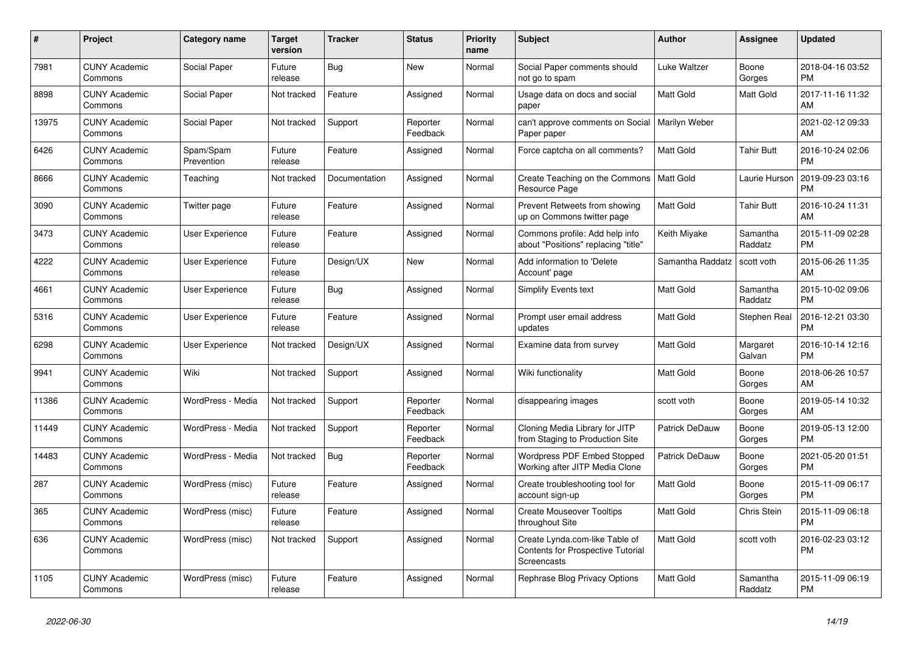| #     | Project                         | Category name           | Target<br>version | Tracker       | <b>Status</b>        | <b>Priority</b><br>name | <b>Subject</b>                                                                     | <b>Author</b>         | Assignee            | <b>Updated</b>                |
|-------|---------------------------------|-------------------------|-------------------|---------------|----------------------|-------------------------|------------------------------------------------------------------------------------|-----------------------|---------------------|-------------------------------|
| 7981  | <b>CUNY Academic</b><br>Commons | Social Paper            | Future<br>release | Bug           | New                  | Normal                  | Social Paper comments should<br>not go to spam                                     | Luke Waltzer          | Boone<br>Gorges     | 2018-04-16 03:52<br><b>PM</b> |
| 8898  | <b>CUNY Academic</b><br>Commons | Social Paper            | Not tracked       | Feature       | Assigned             | Normal                  | Usage data on docs and social<br>paper                                             | Matt Gold             | <b>Matt Gold</b>    | 2017-11-16 11:32<br>AM        |
| 13975 | <b>CUNY Academic</b><br>Commons | Social Paper            | Not tracked       | Support       | Reporter<br>Feedback | Normal                  | can't approve comments on Social<br>Paper paper                                    | Marilyn Weber         |                     | 2021-02-12 09:33<br>AM        |
| 6426  | <b>CUNY Academic</b><br>Commons | Spam/Spam<br>Prevention | Future<br>release | Feature       | Assigned             | Normal                  | Force captcha on all comments?                                                     | Matt Gold             | <b>Tahir Butt</b>   | 2016-10-24 02:06<br><b>PM</b> |
| 8666  | <b>CUNY Academic</b><br>Commons | Teaching                | Not tracked       | Documentation | Assigned             | Normal                  | Create Teaching on the Commons<br>Resource Page                                    | Matt Gold             | Laurie Hurson       | 2019-09-23 03:16<br><b>PM</b> |
| 3090  | <b>CUNY Academic</b><br>Commons | Twitter page            | Future<br>release | Feature       | Assigned             | Normal                  | Prevent Retweets from showing<br>up on Commons twitter page                        | Matt Gold             | <b>Tahir Butt</b>   | 2016-10-24 11:31<br>AM        |
| 3473  | <b>CUNY Academic</b><br>Commons | <b>User Experience</b>  | Future<br>release | Feature       | Assigned             | Normal                  | Commons profile: Add help info<br>about "Positions" replacing "title"              | Keith Miyake          | Samantha<br>Raddatz | 2015-11-09 02:28<br><b>PM</b> |
| 4222  | <b>CUNY Academic</b><br>Commons | User Experience         | Future<br>release | Design/UX     | New                  | Normal                  | Add information to 'Delete<br>Account' page                                        | Samantha Raddatz      | scott voth          | 2015-06-26 11:35<br>AM        |
| 4661  | <b>CUNY Academic</b><br>Commons | <b>User Experience</b>  | Future<br>release | Bug           | Assigned             | Normal                  | Simplify Events text                                                               | Matt Gold             | Samantha<br>Raddatz | 2015-10-02 09:06<br><b>PM</b> |
| 5316  | <b>CUNY Academic</b><br>Commons | <b>User Experience</b>  | Future<br>release | Feature       | Assigned             | Normal                  | Prompt user email address<br>updates                                               | Matt Gold             | Stephen Real        | 2016-12-21 03:30<br><b>PM</b> |
| 6298  | <b>CUNY Academic</b><br>Commons | User Experience         | Not tracked       | Design/UX     | Assigned             | Normal                  | Examine data from survey                                                           | Matt Gold             | Margaret<br>Galvan  | 2016-10-14 12:16<br><b>PM</b> |
| 9941  | <b>CUNY Academic</b><br>Commons | Wiki                    | Not tracked       | Support       | Assigned             | Normal                  | Wiki functionality                                                                 | Matt Gold             | Boone<br>Gorges     | 2018-06-26 10:57<br>AM        |
| 11386 | <b>CUNY Academic</b><br>Commons | WordPress - Media       | Not tracked       | Support       | Reporter<br>Feedback | Normal                  | disappearing images                                                                | scott voth            | Boone<br>Gorges     | 2019-05-14 10:32<br>AM        |
| 11449 | <b>CUNY Academic</b><br>Commons | WordPress - Media       | Not tracked       | Support       | Reporter<br>Feedback | Normal                  | Cloning Media Library for JITP<br>from Staging to Production Site                  | <b>Patrick DeDauw</b> | Boone<br>Gorges     | 2019-05-13 12:00<br><b>PM</b> |
| 14483 | <b>CUNY Academic</b><br>Commons | WordPress - Media       | Not tracked       | <b>Bug</b>    | Reporter<br>Feedback | Normal                  | Wordpress PDF Embed Stopped<br>Working after JITP Media Clone                      | Patrick DeDauw        | Boone<br>Gorges     | 2021-05-20 01:51<br><b>PM</b> |
| 287   | <b>CUNY Academic</b><br>Commons | WordPress (misc)        | Future<br>release | Feature       | Assigned             | Normal                  | Create troubleshooting tool for<br>account sign-up                                 | Matt Gold             | Boone<br>Gorges     | 2015-11-09 06:17<br><b>PM</b> |
| 365   | <b>CUNY Academic</b><br>Commons | WordPress (misc)        | Future<br>release | Feature       | Assigned             | Normal                  | <b>Create Mouseover Tooltips</b><br>throughout Site                                | Matt Gold             | <b>Chris Stein</b>  | 2015-11-09 06:18<br><b>PM</b> |
| 636   | <b>CUNY Academic</b><br>Commons | WordPress (misc)        | Not tracked       | Support       | Assigned             | Normal                  | Create Lynda.com-like Table of<br>Contents for Prospective Tutorial<br>Screencasts | Matt Gold             | scott voth          | 2016-02-23 03:12<br><b>PM</b> |
| 1105  | <b>CUNY Academic</b><br>Commons | WordPress (misc)        | Future<br>release | Feature       | Assigned             | Normal                  | Rephrase Blog Privacy Options                                                      | Matt Gold             | Samantha<br>Raddatz | 2015-11-09 06:19<br><b>PM</b> |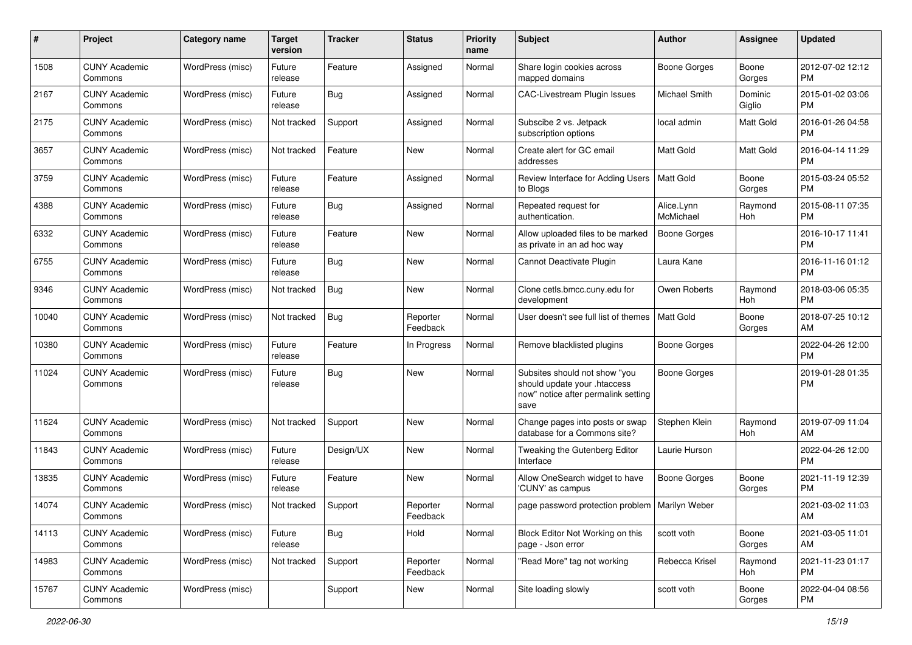| #     | Project                         | Category name    | <b>Target</b><br>version | <b>Tracker</b> | <b>Status</b>        | <b>Priority</b><br>name | <b>Subject</b>                                                                                               | <b>Author</b>           | <b>Assignee</b>   | <b>Updated</b>                |
|-------|---------------------------------|------------------|--------------------------|----------------|----------------------|-------------------------|--------------------------------------------------------------------------------------------------------------|-------------------------|-------------------|-------------------------------|
| 1508  | <b>CUNY Academic</b><br>Commons | WordPress (misc) | Future<br>release        | Feature        | Assigned             | Normal                  | Share login cookies across<br>mapped domains                                                                 | <b>Boone Gorges</b>     | Boone<br>Gorges   | 2012-07-02 12:12<br>PM.       |
| 2167  | <b>CUNY Academic</b><br>Commons | WordPress (misc) | Future<br>release        | Bug            | Assigned             | Normal                  | CAC-Livestream Plugin Issues                                                                                 | Michael Smith           | Dominic<br>Giglio | 2015-01-02 03:06<br><b>PM</b> |
| 2175  | <b>CUNY Academic</b><br>Commons | WordPress (misc) | Not tracked              | Support        | Assigned             | Normal                  | Subscibe 2 vs. Jetpack<br>subscription options                                                               | local admin             | Matt Gold         | 2016-01-26 04:58<br><b>PM</b> |
| 3657  | <b>CUNY Academic</b><br>Commons | WordPress (misc) | Not tracked              | Feature        | New                  | Normal                  | Create alert for GC email<br>addresses                                                                       | <b>Matt Gold</b>        | Matt Gold         | 2016-04-14 11:29<br><b>PM</b> |
| 3759  | <b>CUNY Academic</b><br>Commons | WordPress (misc) | Future<br>release        | Feature        | Assigned             | Normal                  | Review Interface for Adding Users<br>to Blogs                                                                | Matt Gold               | Boone<br>Gorges   | 2015-03-24 05:52<br><b>PM</b> |
| 4388  | <b>CUNY Academic</b><br>Commons | WordPress (misc) | Future<br>release        | Bug            | Assigned             | Normal                  | Repeated request for<br>authentication.                                                                      | Alice.Lynn<br>McMichael | Raymond<br>Hoh    | 2015-08-11 07:35<br><b>PM</b> |
| 6332  | <b>CUNY Academic</b><br>Commons | WordPress (misc) | Future<br>release        | Feature        | New                  | Normal                  | Allow uploaded files to be marked<br>as private in an ad hoc way                                             | Boone Gorges            |                   | 2016-10-17 11:41<br>PM.       |
| 6755  | <b>CUNY Academic</b><br>Commons | WordPress (misc) | Future<br>release        | Bug            | New                  | Normal                  | Cannot Deactivate Plugin                                                                                     | Laura Kane              |                   | 2016-11-16 01:12<br><b>PM</b> |
| 9346  | <b>CUNY Academic</b><br>Commons | WordPress (misc) | Not tracked              | Bug            | New                  | Normal                  | Clone cetls.bmcc.cuny.edu for<br>development                                                                 | Owen Roberts            | Raymond<br>Hoh    | 2018-03-06 05:35<br><b>PM</b> |
| 10040 | <b>CUNY Academic</b><br>Commons | WordPress (misc) | Not tracked              | <b>Bug</b>     | Reporter<br>Feedback | Normal                  | User doesn't see full list of themes                                                                         | <b>Matt Gold</b>        | Boone<br>Gorges   | 2018-07-25 10:12<br>AM        |
| 10380 | <b>CUNY Academic</b><br>Commons | WordPress (misc) | Future<br>release        | Feature        | In Progress          | Normal                  | Remove blacklisted plugins                                                                                   | Boone Gorges            |                   | 2022-04-26 12:00<br><b>PM</b> |
| 11024 | <b>CUNY Academic</b><br>Commons | WordPress (misc) | Future<br>release        | Bug            | New                  | Normal                  | Subsites should not show "you<br>should update your .htaccess<br>now" notice after permalink setting<br>save | Boone Gorges            |                   | 2019-01-28 01:35<br><b>PM</b> |
| 11624 | <b>CUNY Academic</b><br>Commons | WordPress (misc) | Not tracked              | Support        | New                  | Normal                  | Change pages into posts or swap<br>database for a Commons site?                                              | Stephen Klein           | Raymond<br>Hoh    | 2019-07-09 11:04<br>AM        |
| 11843 | <b>CUNY Academic</b><br>Commons | WordPress (misc) | Future<br>release        | Design/UX      | <b>New</b>           | Normal                  | Tweaking the Gutenberg Editor<br>Interface                                                                   | Laurie Hurson           |                   | 2022-04-26 12:00<br><b>PM</b> |
| 13835 | <b>CUNY Academic</b><br>Commons | WordPress (misc) | Future<br>release        | Feature        | New                  | Normal                  | Allow OneSearch widget to have<br>'CUNY' as campus                                                           | <b>Boone Gorges</b>     | Boone<br>Gorges   | 2021-11-19 12:39<br><b>PM</b> |
| 14074 | <b>CUNY Academic</b><br>Commons | WordPress (misc) | Not tracked              | Support        | Reporter<br>Feedback | Normal                  | page password protection problem                                                                             | Marilyn Weber           |                   | 2021-03-02 11:03<br>AM        |
| 14113 | <b>CUNY Academic</b><br>Commons | WordPress (misc) | Future<br>release        | <b>Bug</b>     | Hold                 | Normal                  | Block Editor Not Working on this<br>page - Json error                                                        | scott voth              | Boone<br>Gorges   | 2021-03-05 11:01<br>AM        |
| 14983 | <b>CUNY Academic</b><br>Commons | WordPress (misc) | Not tracked              | Support        | Reporter<br>Feedback | Normal                  | "Read More" tag not working                                                                                  | Rebecca Krisel          | Raymond<br>Hoh    | 2021-11-23 01:17<br><b>PM</b> |
| 15767 | <b>CUNY Academic</b><br>Commons | WordPress (misc) |                          | Support        | New                  | Normal                  | Site loading slowly                                                                                          | scott voth              | Boone<br>Gorges   | 2022-04-04 08:56<br><b>PM</b> |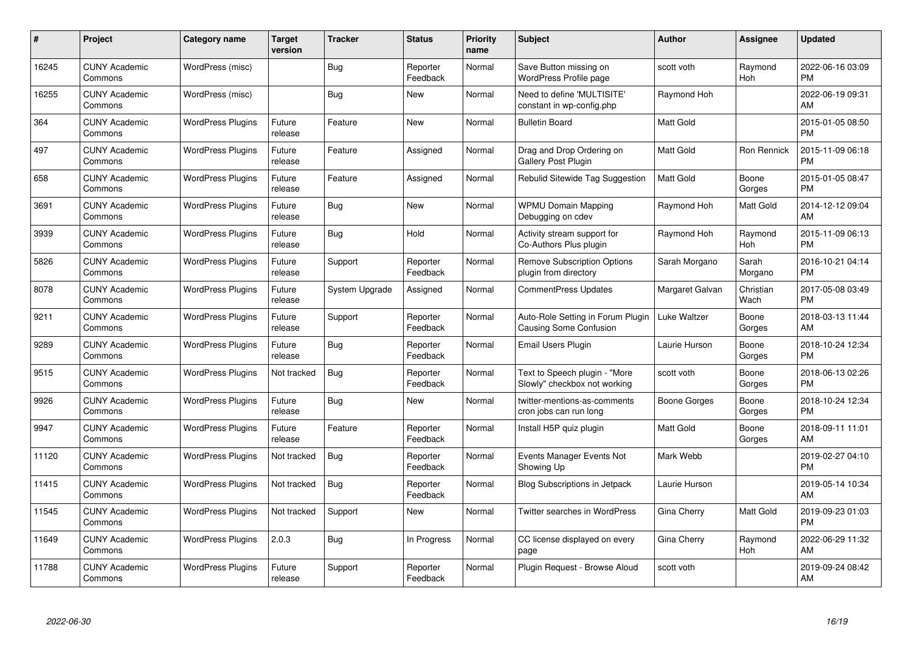| #     | Project                         | <b>Category name</b>     | <b>Target</b><br>version | <b>Tracker</b> | <b>Status</b>        | Priority<br>name | <b>Subject</b>                                                     | <b>Author</b>    | Assignee          | <b>Updated</b>                |
|-------|---------------------------------|--------------------------|--------------------------|----------------|----------------------|------------------|--------------------------------------------------------------------|------------------|-------------------|-------------------------------|
| 16245 | <b>CUNY Academic</b><br>Commons | WordPress (misc)         |                          | Bug            | Reporter<br>Feedback | Normal           | Save Button missing on<br>WordPress Profile page                   | scott voth       | Raymond<br>Hoh    | 2022-06-16 03:09<br><b>PM</b> |
| 16255 | <b>CUNY Academic</b><br>Commons | WordPress (misc)         |                          | <b>Bug</b>     | <b>New</b>           | Normal           | Need to define 'MULTISITE'<br>constant in wp-config.php            | Raymond Hoh      |                   | 2022-06-19 09:31<br>AM        |
| 364   | <b>CUNY Academic</b><br>Commons | <b>WordPress Plugins</b> | Future<br>release        | Feature        | <b>New</b>           | Normal           | <b>Bulletin Board</b>                                              | Matt Gold        |                   | 2015-01-05 08:50<br><b>PM</b> |
| 497   | <b>CUNY Academic</b><br>Commons | <b>WordPress Plugins</b> | Future<br>release        | Feature        | Assigned             | Normal           | Drag and Drop Ordering on<br>Gallery Post Plugin                   | <b>Matt Gold</b> | Ron Rennick       | 2015-11-09 06:18<br><b>PM</b> |
| 658   | <b>CUNY Academic</b><br>Commons | <b>WordPress Plugins</b> | Future<br>release        | Feature        | Assigned             | Normal           | Rebulid Sitewide Tag Suggestion                                    | <b>Matt Gold</b> | Boone<br>Gorges   | 2015-01-05 08:47<br><b>PM</b> |
| 3691  | <b>CUNY Academic</b><br>Commons | <b>WordPress Plugins</b> | Future<br>release        | <b>Bug</b>     | <b>New</b>           | Normal           | <b>WPMU Domain Mapping</b><br>Debugging on cdev                    | Raymond Hoh      | Matt Gold         | 2014-12-12 09:04<br>AM        |
| 3939  | <b>CUNY Academic</b><br>Commons | <b>WordPress Plugins</b> | Future<br>release        | Bug            | Hold                 | Normal           | Activity stream support for<br>Co-Authors Plus plugin              | Raymond Hoh      | Raymond<br>Hoh    | 2015-11-09 06:13<br><b>PM</b> |
| 5826  | <b>CUNY Academic</b><br>Commons | <b>WordPress Plugins</b> | Future<br>release        | Support        | Reporter<br>Feedback | Normal           | <b>Remove Subscription Options</b><br>plugin from directory        | Sarah Morgano    | Sarah<br>Morgano  | 2016-10-21 04:14<br><b>PM</b> |
| 8078  | <b>CUNY Academic</b><br>Commons | <b>WordPress Plugins</b> | Future<br>release        | System Upgrade | Assigned             | Normal           | <b>CommentPress Updates</b>                                        | Margaret Galvan  | Christian<br>Wach | 2017-05-08 03:49<br><b>PM</b> |
| 9211  | <b>CUNY Academic</b><br>Commons | <b>WordPress Plugins</b> | Future<br>release        | Support        | Reporter<br>Feedback | Normal           | Auto-Role Setting in Forum Plugin<br><b>Causing Some Confusion</b> | Luke Waltzer     | Boone<br>Gorges   | 2018-03-13 11:44<br>AM        |
| 9289  | <b>CUNY Academic</b><br>Commons | <b>WordPress Plugins</b> | Future<br>release        | Bug            | Reporter<br>Feedback | Normal           | Email Users Plugin                                                 | Laurie Hurson    | Boone<br>Gorges   | 2018-10-24 12:34<br><b>PM</b> |
| 9515  | <b>CUNY Academic</b><br>Commons | <b>WordPress Plugins</b> | Not tracked              | <b>Bug</b>     | Reporter<br>Feedback | Normal           | Text to Speech plugin - "More<br>Slowly" checkbox not working      | scott voth       | Boone<br>Gorges   | 2018-06-13 02:26<br><b>PM</b> |
| 9926  | <b>CUNY Academic</b><br>Commons | <b>WordPress Plugins</b> | Future<br>release        | Bug            | New                  | Normal           | twitter-mentions-as-comments<br>cron jobs can run long             | Boone Gorges     | Boone<br>Gorges   | 2018-10-24 12:34<br><b>PM</b> |
| 9947  | <b>CUNY Academic</b><br>Commons | <b>WordPress Plugins</b> | Future<br>release        | Feature        | Reporter<br>Feedback | Normal           | Install H5P quiz plugin                                            | <b>Matt Gold</b> | Boone<br>Gorges   | 2018-09-11 11:01<br>AM        |
| 11120 | <b>CUNY Academic</b><br>Commons | <b>WordPress Plugins</b> | Not tracked              | Bug            | Reporter<br>Feedback | Normal           | Events Manager Events Not<br>Showing Up                            | Mark Webb        |                   | 2019-02-27 04:10<br><b>PM</b> |
| 11415 | <b>CUNY Academic</b><br>Commons | <b>WordPress Plugins</b> | Not tracked              | Bug            | Reporter<br>Feedback | Normal           | <b>Blog Subscriptions in Jetpack</b>                               | Laurie Hurson    |                   | 2019-05-14 10:34<br>AM        |
| 11545 | <b>CUNY Academic</b><br>Commons | <b>WordPress Plugins</b> | Not tracked              | Support        | New                  | Normal           | Twitter searches in WordPress                                      | Gina Cherry      | Matt Gold         | 2019-09-23 01:03<br><b>PM</b> |
| 11649 | <b>CUNY Academic</b><br>Commons | <b>WordPress Plugins</b> | 2.0.3                    | Bug            | In Progress          | Normal           | CC license displayed on every<br>page                              | Gina Cherry      | Raymond<br>Hoh    | 2022-06-29 11:32<br>AM        |
| 11788 | CUNY Academic<br>Commons        | <b>WordPress Plugins</b> | Future<br>release        | Support        | Reporter<br>Feedback | Normal           | Plugin Request - Browse Aloud                                      | scott voth       |                   | 2019-09-24 08:42<br>AM        |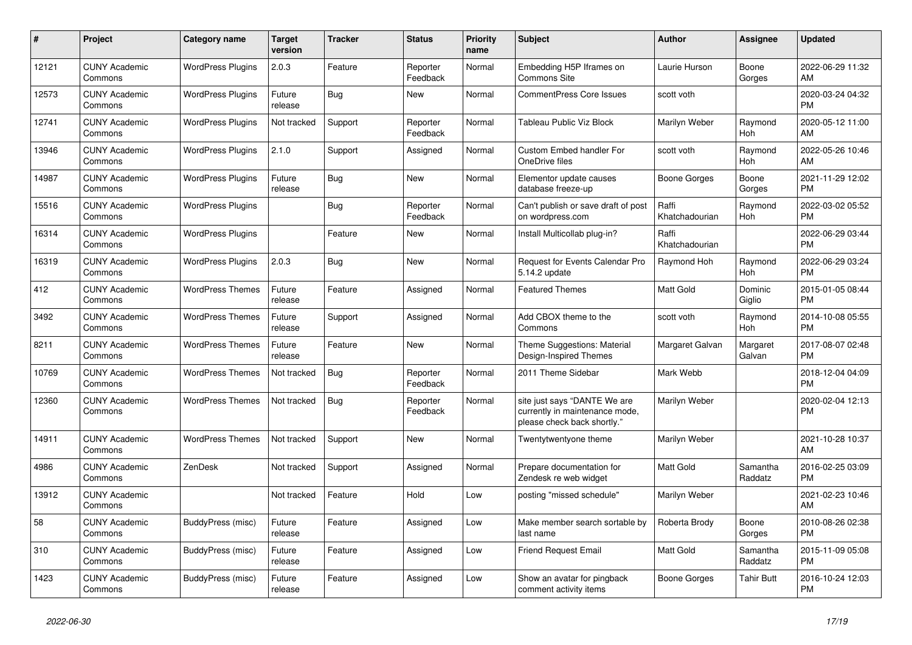| $\#$  | Project                         | <b>Category name</b>     | <b>Target</b><br>version | <b>Tracker</b> | <b>Status</b>        | <b>Priority</b><br>name | <b>Subject</b>                                                                                | <b>Author</b>           | <b>Assignee</b>     | <b>Updated</b>                |
|-------|---------------------------------|--------------------------|--------------------------|----------------|----------------------|-------------------------|-----------------------------------------------------------------------------------------------|-------------------------|---------------------|-------------------------------|
| 12121 | <b>CUNY Academic</b><br>Commons | <b>WordPress Plugins</b> | 2.0.3                    | Feature        | Reporter<br>Feedback | Normal                  | Embedding H5P Iframes on<br><b>Commons Site</b>                                               | Laurie Hurson           | Boone<br>Gorges     | 2022-06-29 11:32<br>AM        |
| 12573 | <b>CUNY Academic</b><br>Commons | <b>WordPress Plugins</b> | Future<br>release        | Bug            | New                  | Normal                  | <b>CommentPress Core Issues</b>                                                               | scott voth              |                     | 2020-03-24 04:32<br><b>PM</b> |
| 12741 | <b>CUNY Academic</b><br>Commons | <b>WordPress Plugins</b> | Not tracked              | Support        | Reporter<br>Feedback | Normal                  | Tableau Public Viz Block                                                                      | Marilyn Weber           | Raymond<br>Hoh      | 2020-05-12 11:00<br>AM        |
| 13946 | <b>CUNY Academic</b><br>Commons | <b>WordPress Plugins</b> | 2.1.0                    | Support        | Assigned             | Normal                  | <b>Custom Embed handler For</b><br>OneDrive files                                             | scott voth              | Raymond<br>Hoh      | 2022-05-26 10:46<br>AM        |
| 14987 | <b>CUNY Academic</b><br>Commons | <b>WordPress Plugins</b> | Future<br>release        | Bug            | <b>New</b>           | Normal                  | Elementor update causes<br>database freeze-up                                                 | Boone Gorges            | Boone<br>Gorges     | 2021-11-29 12:02<br><b>PM</b> |
| 15516 | <b>CUNY Academic</b><br>Commons | <b>WordPress Plugins</b> |                          | Bug            | Reporter<br>Feedback | Normal                  | Can't publish or save draft of post<br>on wordpress.com                                       | Raffi<br>Khatchadourian | Raymond<br>Hoh      | 2022-03-02 05:52<br><b>PM</b> |
| 16314 | <b>CUNY Academic</b><br>Commons | <b>WordPress Plugins</b> |                          | Feature        | New                  | Normal                  | Install Multicollab plug-in?                                                                  | Raffi<br>Khatchadourian |                     | 2022-06-29 03:44<br><b>PM</b> |
| 16319 | <b>CUNY Academic</b><br>Commons | <b>WordPress Plugins</b> | 2.0.3                    | Bug            | New                  | Normal                  | Request for Events Calendar Pro<br>5.14.2 update                                              | Raymond Hoh             | Raymond<br>Hoh      | 2022-06-29 03:24<br><b>PM</b> |
| 412   | <b>CUNY Academic</b><br>Commons | <b>WordPress Themes</b>  | Future<br>release        | Feature        | Assigned             | Normal                  | <b>Featured Themes</b>                                                                        | Matt Gold               | Dominic<br>Giglio   | 2015-01-05 08:44<br><b>PM</b> |
| 3492  | <b>CUNY Academic</b><br>Commons | <b>WordPress Themes</b>  | Future<br>release        | Support        | Assigned             | Normal                  | Add CBOX theme to the<br>Commons                                                              | scott voth              | Raymond<br>Hoh      | 2014-10-08 05:55<br><b>PM</b> |
| 8211  | <b>CUNY Academic</b><br>Commons | <b>WordPress Themes</b>  | Future<br>release        | Feature        | New                  | Normal                  | Theme Suggestions: Material<br>Design-Inspired Themes                                         | Margaret Galvan         | Margaret<br>Galvan  | 2017-08-07 02:48<br><b>PM</b> |
| 10769 | <b>CUNY Academic</b><br>Commons | <b>WordPress Themes</b>  | Not tracked              | Bug            | Reporter<br>Feedback | Normal                  | 2011 Theme Sidebar                                                                            | Mark Webb               |                     | 2018-12-04 04:09<br><b>PM</b> |
| 12360 | <b>CUNY Academic</b><br>Commons | <b>WordPress Themes</b>  | Not tracked              | <b>Bug</b>     | Reporter<br>Feedback | Normal                  | site just says "DANTE We are<br>currently in maintenance mode,<br>please check back shortly." | Marilyn Weber           |                     | 2020-02-04 12:13<br><b>PM</b> |
| 14911 | <b>CUNY Academic</b><br>Commons | <b>WordPress Themes</b>  | Not tracked              | Support        | <b>New</b>           | Normal                  | Twentytwentyone theme                                                                         | Marilyn Weber           |                     | 2021-10-28 10:37<br>AM        |
| 4986  | <b>CUNY Academic</b><br>Commons | ZenDesk                  | Not tracked              | Support        | Assigned             | Normal                  | Prepare documentation for<br>Zendesk re web widget                                            | Matt Gold               | Samantha<br>Raddatz | 2016-02-25 03:09<br><b>PM</b> |
| 13912 | <b>CUNY Academic</b><br>Commons |                          | Not tracked              | Feature        | Hold                 | Low                     | posting "missed schedule"                                                                     | Marilyn Weber           |                     | 2021-02-23 10:46<br>AM        |
| 58    | <b>CUNY Academic</b><br>Commons | BuddyPress (misc)        | Future<br>release        | Feature        | Assigned             | Low                     | Make member search sortable by<br>last name                                                   | Roberta Brody           | Boone<br>Gorges     | 2010-08-26 02:38<br><b>PM</b> |
| 310   | <b>CUNY Academic</b><br>Commons | BuddyPress (misc)        | Future<br>release        | Feature        | Assigned             | Low                     | <b>Friend Request Email</b>                                                                   | Matt Gold               | Samantha<br>Raddatz | 2015-11-09 05:08<br><b>PM</b> |
| 1423  | <b>CUNY Academic</b><br>Commons | BuddyPress (misc)        | Future<br>release        | Feature        | Assigned             | Low                     | Show an avatar for pingback<br>comment activity items                                         | Boone Gorges            | Tahir Butt          | 2016-10-24 12:03<br><b>PM</b> |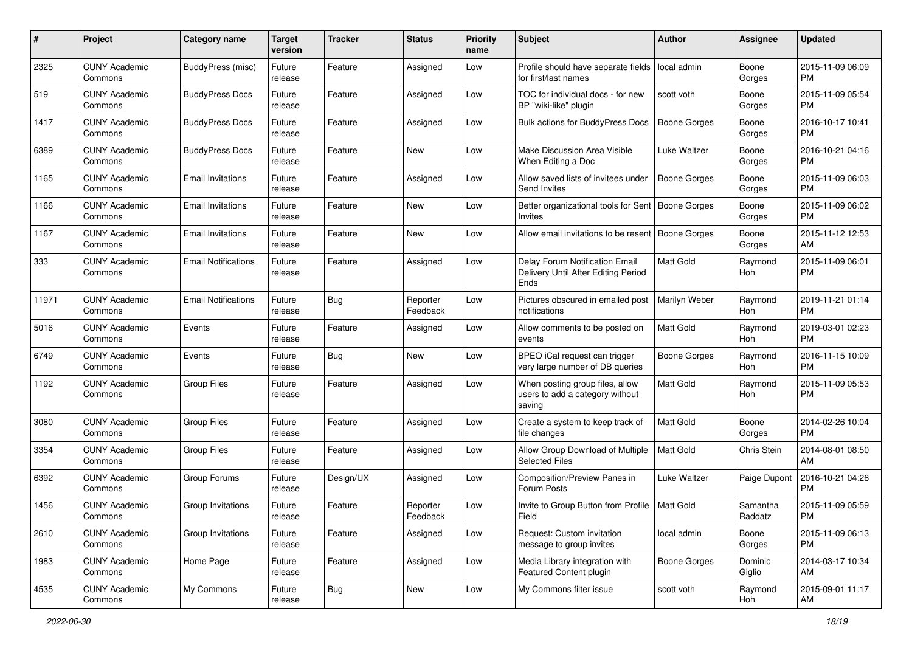| #     | Project                         | <b>Category name</b>       | <b>Target</b><br>version | <b>Tracker</b> | <b>Status</b>        | <b>Priority</b><br>name | <b>Subject</b>                                                                | <b>Author</b>       | <b>Assignee</b>     | <b>Updated</b>                |
|-------|---------------------------------|----------------------------|--------------------------|----------------|----------------------|-------------------------|-------------------------------------------------------------------------------|---------------------|---------------------|-------------------------------|
| 2325  | <b>CUNY Academic</b><br>Commons | <b>BuddyPress (misc)</b>   | Future<br>release        | Feature        | Assigned             | Low                     | Profile should have separate fields<br>for first/last names                   | local admin         | Boone<br>Gorges     | 2015-11-09 06:09<br>PM.       |
| 519   | <b>CUNY Academic</b><br>Commons | <b>BuddyPress Docs</b>     | Future<br>release        | Feature        | Assigned             | Low                     | TOC for individual docs - for new<br>BP "wiki-like" plugin                    | scott voth          | Boone<br>Gorges     | 2015-11-09 05:54<br><b>PM</b> |
| 1417  | <b>CUNY Academic</b><br>Commons | <b>BuddyPress Docs</b>     | Future<br>release        | Feature        | Assigned             | Low                     | <b>Bulk actions for BuddyPress Docs</b>                                       | <b>Boone Gorges</b> | Boone<br>Gorges     | 2016-10-17 10:41<br><b>PM</b> |
| 6389  | <b>CUNY Academic</b><br>Commons | <b>BuddyPress Docs</b>     | Future<br>release        | Feature        | New                  | Low                     | Make Discussion Area Visible<br>When Editing a Doc                            | Luke Waltzer        | Boone<br>Gorges     | 2016-10-21 04:16<br>PM.       |
| 1165  | <b>CUNY Academic</b><br>Commons | <b>Email Invitations</b>   | Future<br>release        | Feature        | Assigned             | Low                     | Allow saved lists of invitees under<br>Send Invites                           | Boone Gorges        | Boone<br>Gorges     | 2015-11-09 06:03<br><b>PM</b> |
| 1166  | <b>CUNY Academic</b><br>Commons | <b>Email Invitations</b>   | Future<br>release        | Feature        | New                  | Low                     | Better organizational tools for Sent<br><b>Invites</b>                        | Boone Gorges        | Boone<br>Gorges     | 2015-11-09 06:02<br>PM.       |
| 1167  | <b>CUNY Academic</b><br>Commons | <b>Email Invitations</b>   | Future<br>release        | Feature        | New                  | Low                     | Allow email invitations to be resent                                          | Boone Gorges        | Boone<br>Gorges     | 2015-11-12 12:53<br>AM.       |
| 333   | <b>CUNY Academic</b><br>Commons | <b>Email Notifications</b> | Future<br>release        | Feature        | Assigned             | Low                     | Delay Forum Notification Email<br>Delivery Until After Editing Period<br>Ends | <b>Matt Gold</b>    | Raymond<br>Hoh      | 2015-11-09 06:01<br>PM.       |
| 11971 | <b>CUNY Academic</b><br>Commons | <b>Email Notifications</b> | Future<br>release        | Bug            | Reporter<br>Feedback | Low                     | Pictures obscured in emailed post<br>notifications                            | Marilyn Weber       | Raymond<br>Hoh      | 2019-11-21 01:14<br>PM.       |
| 5016  | <b>CUNY Academic</b><br>Commons | Events                     | Future<br>release        | Feature        | Assigned             | Low                     | Allow comments to be posted on<br>events                                      | <b>Matt Gold</b>    | Raymond<br>Hoh      | 2019-03-01 02:23<br><b>PM</b> |
| 6749  | <b>CUNY Academic</b><br>Commons | Events                     | Future<br>release        | Bug            | New                  | Low                     | BPEO iCal request can trigger<br>very large number of DB queries              | Boone Gorges        | Raymond<br>Hoh      | 2016-11-15 10:09<br><b>PM</b> |
| 1192  | <b>CUNY Academic</b><br>Commons | <b>Group Files</b>         | Future<br>release        | Feature        | Assigned             | Low                     | When posting group files, allow<br>users to add a category without<br>saving  | <b>Matt Gold</b>    | Raymond<br>Hoh      | 2015-11-09 05:53<br><b>PM</b> |
| 3080  | <b>CUNY Academic</b><br>Commons | <b>Group Files</b>         | Future<br>release        | Feature        | Assigned             | Low                     | Create a system to keep track of<br>file changes                              | Matt Gold           | Boone<br>Gorges     | 2014-02-26 10:04<br>PM.       |
| 3354  | <b>CUNY Academic</b><br>Commons | <b>Group Files</b>         | Future<br>release        | Feature        | Assigned             | Low                     | Allow Group Download of Multiple<br><b>Selected Files</b>                     | <b>Matt Gold</b>    | Chris Stein         | 2014-08-01 08:50<br>AM        |
| 6392  | <b>CUNY Academic</b><br>Commons | Group Forums               | Future<br>release        | Design/UX      | Assigned             | Low                     | Composition/Preview Panes in<br>Forum Posts                                   | Luke Waltzer        | Paige Dupont        | 2016-10-21 04:26<br><b>PM</b> |
| 1456  | <b>CUNY Academic</b><br>Commons | Group Invitations          | Future<br>release        | Feature        | Reporter<br>Feedback | Low                     | Invite to Group Button from Profile   Matt Gold<br>Field                      |                     | Samantha<br>Raddatz | 2015-11-09 05:59<br>PM        |
| 2610  | <b>CUNY Academic</b><br>Commons | Group Invitations          | Future<br>release        | Feature        | Assigned             | Low                     | Request: Custom invitation<br>message to group invites                        | local admin         | Boone<br>Gorges     | 2015-11-09 06:13<br>PM.       |
| 1983  | <b>CUNY Academic</b><br>Commons | Home Page                  | Future<br>release        | Feature        | Assigned             | Low                     | Media Library integration with<br>Featured Content plugin                     | Boone Gorges        | Dominic<br>Giglio   | 2014-03-17 10:34<br>AM        |
| 4535  | <b>CUNY Academic</b><br>Commons | My Commons                 | Future<br>release        | <b>Bug</b>     | New                  | Low                     | My Commons filter issue                                                       | scott voth          | Raymond<br>Hoh      | 2015-09-01 11:17<br>AM        |